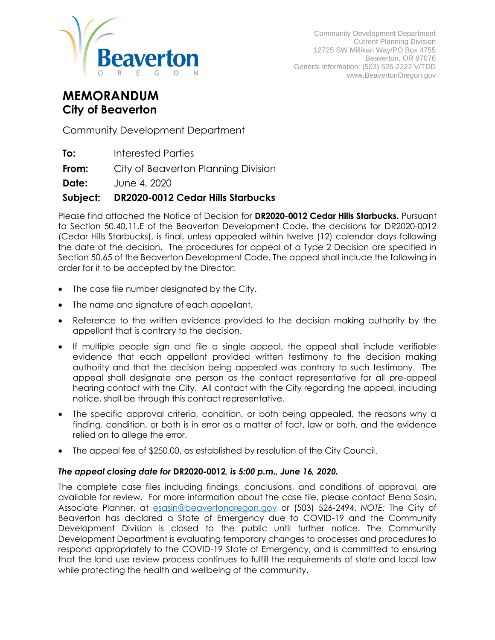

Community Development Department Current Planning Division 12725 SW Millikan Way/PO Box 4755 Beaverton, OR 97076 General Information: (503) 526-2222 V/TDD www.BeavertonOregon.gov

## **MEMORANDUM City of Beaverton**

Community Development Department

**To:** Interested Parties

**From:** City of Beaverton Planning Division

**Date:** June 4, 2020

#### **Subject: DR2020-0012 Cedar Hills Starbucks**

Please find attached the Notice of Decision for **DR2020-0012 Cedar Hills Starbucks.** Pursuant to Section 50.40.11.E of the Beaverton Development Code, the decisions for DR2020-0012 (Cedar Hills Starbucks), is final, unless appealed within twelve (12) calendar days following the date of the decision. The procedures for appeal of a Type 2 Decision are specified in Section 50.65 of the Beaverton Development Code. The appeal shall include the following in order for it to be accepted by the Director:

- The case file number designated by the City.
- The name and signature of each appellant.
- Reference to the written evidence provided to the decision making authority by the appellant that is contrary to the decision.
- If multiple people sign and file a single appeal, the appeal shall include verifiable evidence that each appellant provided written testimony to the decision making authority and that the decision being appealed was contrary to such testimony. The appeal shall designate one person as the contact representative for all pre-appeal hearing contact with the City. All contact with the City regarding the appeal, including notice, shall be through this contact representative.
- The specific approval criteria, condition, or both being appealed, the reasons why a finding, condition, or both is in error as a matter of fact, law or both, and the evidence relied on to allege the error.
- The appeal fee of \$250.00, as established by resolution of the City Council.

#### *The appeal closing date for* **DR2020-0012***, is 5:00 p.m., June 16, 2020.*

The complete case files including findings, conclusions, and conditions of approval, are available for review. For more information about the case file, please contact Elena Sasin, Associate Planner, at [esasin@beavertonoregon.gov](mailto:esasin@beavertonoregon.gov) or (503) 526-2494. *NOTE:* The City of Beaverton has declared a State of Emergency due to COVID-19 and the Community Development Division is closed to the public until further notice. The Community Development Department is evaluating temporary changes to processes and procedures to respond appropriately to the COVID-19 State of Emergency, and is committed to ensuring that the land use review process continues to fulfill the requirements of state and local law while protecting the health and wellbeing of the community.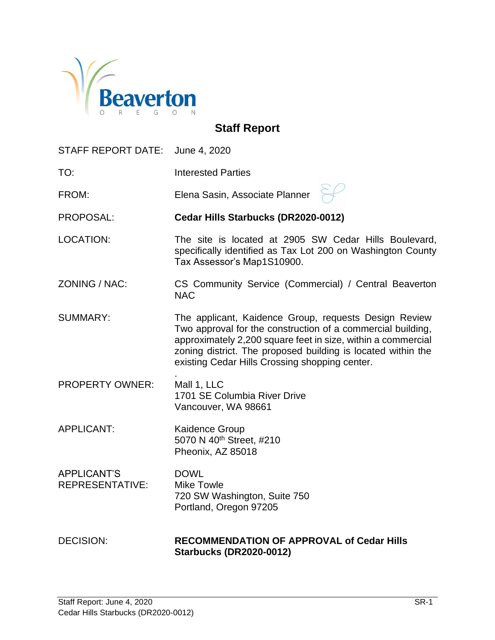

## **Staff Report**

STAFF REPORT DATE: June 4, 2020

TO: Interested Parties

FROM: Elena Sasin, Associate Planner

PROPOSAL: **Cedar Hills Starbucks (DR2020-0012)**

LOCATION: The site is located at 2905 SW Cedar Hills Boulevard, specifically identified as Tax Lot 200 on Washington County Tax Assessor's Map1S10900.

#### ZONING / NAC: CS Community Service (Commercial) / Central Beaverton NAC

SUMMARY: The applicant, Kaidence Group, requests Design Review Two approval for the construction of a commercial building, approximately 2,200 square feet in size, within a commercial zoning district. The proposed building is located within the existing Cedar Hills Crossing shopping center.

. PROPERTY OWNER: Mall 1, LLC 1701 SE Columbia River Drive Vancouver, WA 98661

APPLICANT: Kaidence Group 5070 N 40th Street, #210 Pheonix, AZ 85018

APPLICANT'S DOWL REPRESENTATIVE: Mike Towle 720 SW Washington, Suite 750 Portland, Oregon 97205

DECISION: **RECOMMENDATION OF APPROVAL of Cedar Hills Starbucks (DR2020-0012)**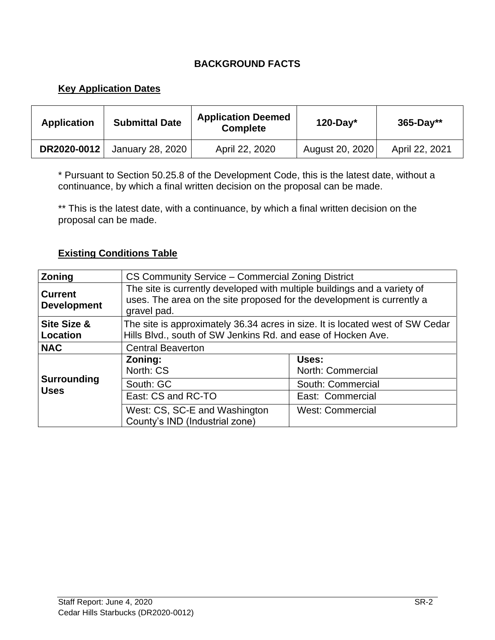### **BACKGROUND FACTS**

#### **Key Application Dates**

| <b>Application</b> | <b>Submittal Date</b> | <b>Application Deemed</b><br><b>Complete</b> | $120$ -Day*     | $365 - Day**$  |
|--------------------|-----------------------|----------------------------------------------|-----------------|----------------|
| DR2020-0012        | January 28, 2020      | April 22, 2020                               | August 20, 2020 | April 22, 2021 |

\* Pursuant to Section 50.25.8 of the Development Code, this is the latest date, without a continuance, by which a final written decision on the proposal can be made.

\*\* This is the latest date, with a continuance, by which a final written decision on the proposal can be made.

#### **Existing Conditions Table**

| <b>Zoning</b>                        | CS Community Service - Commercial Zoning District                                                                                                                 |                            |  |
|--------------------------------------|-------------------------------------------------------------------------------------------------------------------------------------------------------------------|----------------------------|--|
| <b>Current</b><br><b>Development</b> | The site is currently developed with multiple buildings and a variety of<br>uses. The area on the site proposed for the development is currently a<br>gravel pad. |                            |  |
| Site Size &<br><b>Location</b>       | The site is approximately 36.34 acres in size. It is located west of SW Cedar<br>Hills Blvd., south of SW Jenkins Rd. and ease of Hocken Ave.                     |                            |  |
| <b>NAC</b>                           | <b>Central Beaverton</b>                                                                                                                                          |                            |  |
|                                      | Zoning:<br>North: CS                                                                                                                                              | Uses:<br>North: Commercial |  |
| <b>Surrounding</b><br><b>Uses</b>    | South: GC                                                                                                                                                         | South: Commercial          |  |
|                                      | East: CS and RC-TO                                                                                                                                                | East: Commercial           |  |
|                                      | West: CS, SC-E and Washington<br>County's IND (Industrial zone)                                                                                                   | <b>West: Commercial</b>    |  |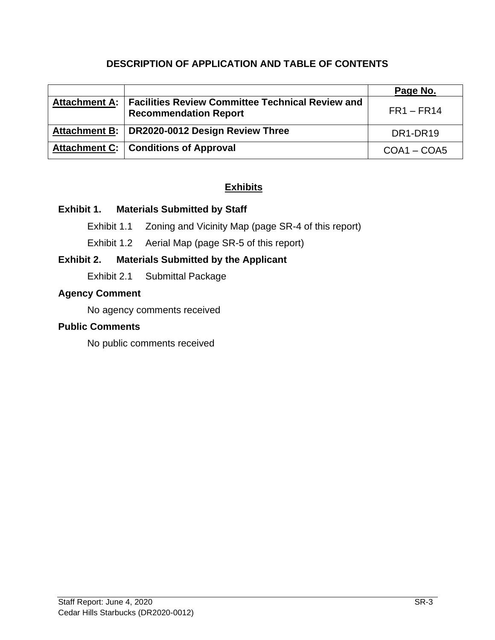### **DESCRIPTION OF APPLICATION AND TABLE OF CONTENTS**

|                                                                                                  | Page No.                          |
|--------------------------------------------------------------------------------------------------|-----------------------------------|
| Attachment A:   Facilities Review Committee Technical Review and<br><b>Recommendation Report</b> | $FR1 - FR14$                      |
| Attachment B:   DR2020-0012 Design Review Three                                                  | DR <sub>1</sub> -DR <sub>19</sub> |
| Attachment C:   Conditions of Approval                                                           | $COA1 - COA5$                     |

#### **Exhibits**

#### **Exhibit 1. Materials Submitted by Staff**

Exhibit 1.1 Zoning and Vicinity Map (page SR-4 of this report)

Exhibit 1.2 Aerial Map (page SR-5 of this report)

## **Exhibit 2. Materials Submitted by the Applicant**

Exhibit 2.1 Submittal Package

#### **Agency Comment**

No agency comments received

#### **Public Comments**

No public comments received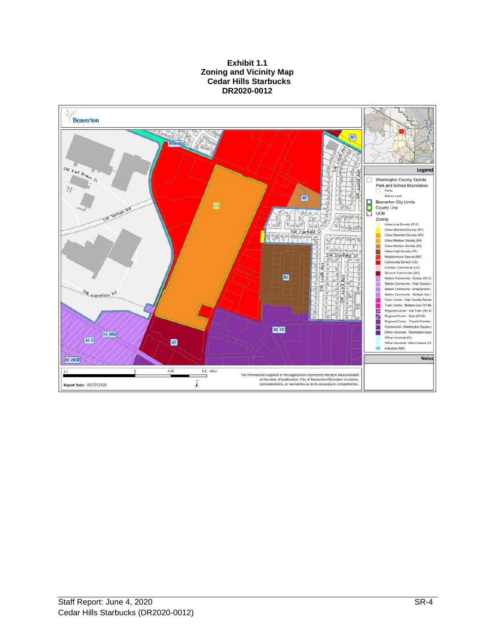#### **Exhibit 1.1 Zoning and Vicinity Map Cedar Hills Starbucks DR2020-0012**

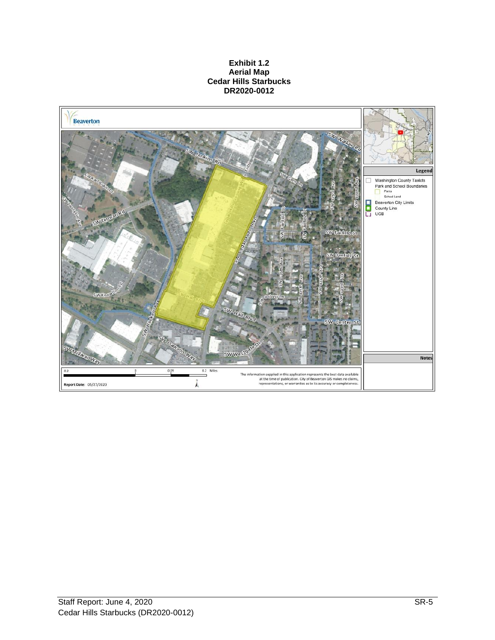#### **Exhibit 1.2 Aerial Map Cedar Hills Starbucks DR2020-0012**

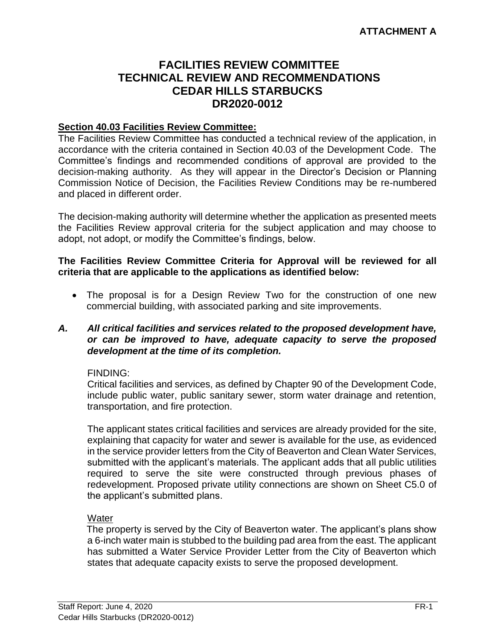## **FACILITIES REVIEW COMMITTEE TECHNICAL REVIEW AND RECOMMENDATIONS CEDAR HILLS STARBUCKS DR2020-0012**

#### **Section 40.03 Facilities Review Committee:**

The Facilities Review Committee has conducted a technical review of the application, in accordance with the criteria contained in Section 40.03 of the Development Code. The Committee's findings and recommended conditions of approval are provided to the decision-making authority. As they will appear in the Director's Decision or Planning Commission Notice of Decision, the Facilities Review Conditions may be re-numbered and placed in different order.

The decision-making authority will determine whether the application as presented meets the Facilities Review approval criteria for the subject application and may choose to adopt, not adopt, or modify the Committee's findings, below.

#### **The Facilities Review Committee Criteria for Approval will be reviewed for all criteria that are applicable to the applications as identified below:**

• The proposal is for a Design Review Two for the construction of one new commercial building, with associated parking and site improvements.

#### *A. All critical facilities and services related to the proposed development have, or can be improved to have, adequate capacity to serve the proposed development at the time of its completion.*

#### FINDING:

Critical facilities and services, as defined by Chapter 90 of the Development Code, include public water, public sanitary sewer, storm water drainage and retention, transportation, and fire protection.

The applicant states critical facilities and services are already provided for the site, explaining that capacity for water and sewer is available for the use, as evidenced in the service provider letters from the City of Beaverton and Clean Water Services, submitted with the applicant's materials. The applicant adds that all public utilities required to serve the site were constructed through previous phases of redevelopment. Proposed private utility connections are shown on Sheet C5.0 of the applicant's submitted plans.

#### **Water**

The property is served by the City of Beaverton water. The applicant's plans show a 6-inch water main is stubbed to the building pad area from the east. The applicant has submitted a Water Service Provider Letter from the City of Beaverton which states that adequate capacity exists to serve the proposed development.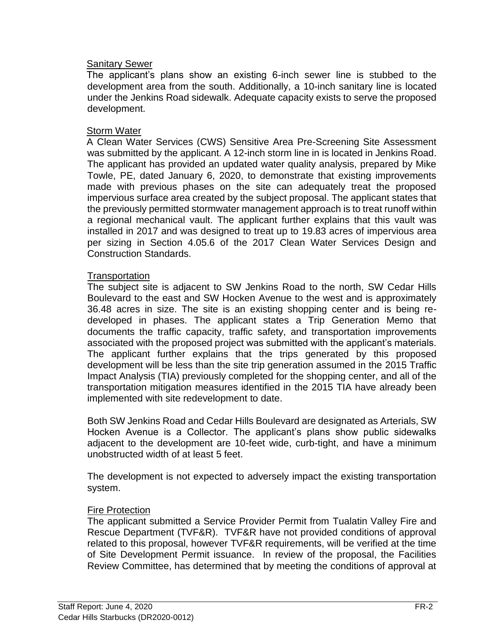#### Sanitary Sewer

The applicant's plans show an existing 6-inch sewer line is stubbed to the development area from the south. Additionally, a 10-inch sanitary line is located under the Jenkins Road sidewalk. Adequate capacity exists to serve the proposed development.

#### Storm Water

A Clean Water Services (CWS) Sensitive Area Pre-Screening Site Assessment was submitted by the applicant. A 12-inch storm line in is located in Jenkins Road. The applicant has provided an updated water quality analysis, prepared by Mike Towle, PE, dated January 6, 2020, to demonstrate that existing improvements made with previous phases on the site can adequately treat the proposed impervious surface area created by the subject proposal. The applicant states that the previously permitted stormwater management approach is to treat runoff within a regional mechanical vault. The applicant further explains that this vault was installed in 2017 and was designed to treat up to 19.83 acres of impervious area per sizing in Section 4.05.6 of the 2017 Clean Water Services Design and Construction Standards.

#### **Transportation**

The subject site is adjacent to SW Jenkins Road to the north, SW Cedar Hills Boulevard to the east and SW Hocken Avenue to the west and is approximately 36.48 acres in size. The site is an existing shopping center and is being redeveloped in phases. The applicant states a Trip Generation Memo that documents the traffic capacity, traffic safety, and transportation improvements associated with the proposed project was submitted with the applicant's materials. The applicant further explains that the trips generated by this proposed development will be less than the site trip generation assumed in the 2015 Traffic Impact Analysis (TIA) previously completed for the shopping center, and all of the transportation mitigation measures identified in the 2015 TIA have already been implemented with site redevelopment to date.

Both SW Jenkins Road and Cedar Hills Boulevard are designated as Arterials, SW Hocken Avenue is a Collector. The applicant's plans show public sidewalks adjacent to the development are 10-feet wide, curb-tight, and have a minimum unobstructed width of at least 5 feet.

The development is not expected to adversely impact the existing transportation system.

#### Fire Protection

The applicant submitted a Service Provider Permit from Tualatin Valley Fire and Rescue Department (TVF&R). TVF&R have not provided conditions of approval related to this proposal, however TVF&R requirements, will be verified at the time of Site Development Permit issuance. In review of the proposal, the Facilities Review Committee, has determined that by meeting the conditions of approval at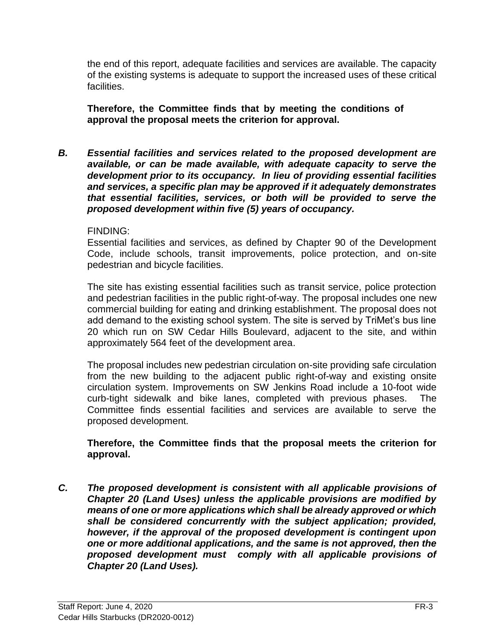the end of this report, adequate facilities and services are available. The capacity of the existing systems is adequate to support the increased uses of these critical facilities.

**Therefore, the Committee finds that by meeting the conditions of approval the proposal meets the criterion for approval.**

*B. Essential facilities and services related to the proposed development are available, or can be made available, with adequate capacity to serve the development prior to its occupancy. In lieu of providing essential facilities and services, a specific plan may be approved if it adequately demonstrates that essential facilities, services, or both will be provided to serve the proposed development within five (5) years of occupancy.*

#### FINDING:

Essential facilities and services, as defined by Chapter 90 of the Development Code, include schools, transit improvements, police protection, and on-site pedestrian and bicycle facilities.

The site has existing essential facilities such as transit service, police protection and pedestrian facilities in the public right-of-way. The proposal includes one new commercial building for eating and drinking establishment. The proposal does not add demand to the existing school system. The site is served by TriMet's bus line 20 which run on SW Cedar Hills Boulevard, adjacent to the site, and within approximately 564 feet of the development area.

The proposal includes new pedestrian circulation on-site providing safe circulation from the new building to the adjacent public right-of-way and existing onsite circulation system. Improvements on SW Jenkins Road include a 10-foot wide curb-tight sidewalk and bike lanes, completed with previous phases. The Committee finds essential facilities and services are available to serve the proposed development.

**Therefore, the Committee finds that the proposal meets the criterion for approval.**

*C. The proposed development is consistent with all applicable provisions of Chapter 20 (Land Uses) unless the applicable provisions are modified by means of one or more applications which shall be already approved or which shall be considered concurrently with the subject application; provided, however, if the approval of the proposed development is contingent upon one or more additional applications, and the same is not approved, then the proposed development must comply with all applicable provisions of Chapter 20 (Land Uses).*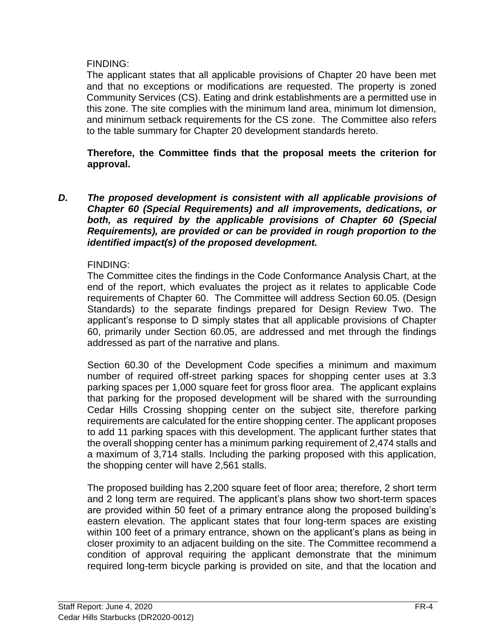#### FINDING:

The applicant states that all applicable provisions of Chapter 20 have been met and that no exceptions or modifications are requested. The property is zoned Community Services (CS). Eating and drink establishments are a permitted use in this zone. The site complies with the minimum land area, minimum lot dimension, and minimum setback requirements for the CS zone. The Committee also refers to the table summary for Chapter 20 development standards hereto.

**Therefore, the Committee finds that the proposal meets the criterion for approval.**

*D. The proposed development is consistent with all applicable provisions of Chapter 60 (Special Requirements) and all improvements, dedications, or both, as required by the applicable provisions of Chapter 60 (Special Requirements), are provided or can be provided in rough proportion to the identified impact(s) of the proposed development.*

#### FINDING:

The Committee cites the findings in the Code Conformance Analysis Chart, at the end of the report, which evaluates the project as it relates to applicable Code requirements of Chapter 60. The Committee will address Section 60.05. (Design Standards) to the separate findings prepared for Design Review Two. The applicant's response to D simply states that all applicable provisions of Chapter 60, primarily under Section 60.05, are addressed and met through the findings addressed as part of the narrative and plans.

Section 60.30 of the Development Code specifies a minimum and maximum number of required off-street parking spaces for shopping center uses at 3.3 parking spaces per 1,000 square feet for gross floor area. The applicant explains that parking for the proposed development will be shared with the surrounding Cedar Hills Crossing shopping center on the subject site, therefore parking requirements are calculated for the entire shopping center. The applicant proposes to add 11 parking spaces with this development. The applicant further states that the overall shopping center has a minimum parking requirement of 2,474 stalls and a maximum of 3,714 stalls. Including the parking proposed with this application, the shopping center will have 2,561 stalls.

The proposed building has 2,200 square feet of floor area; therefore, 2 short term and 2 long term are required. The applicant's plans show two short-term spaces are provided within 50 feet of a primary entrance along the proposed building's eastern elevation. The applicant states that four long-term spaces are existing within 100 feet of a primary entrance, shown on the applicant's plans as being in closer proximity to an adjacent building on the site. The Committee recommend a condition of approval requiring the applicant demonstrate that the minimum required long-term bicycle parking is provided on site, and that the location and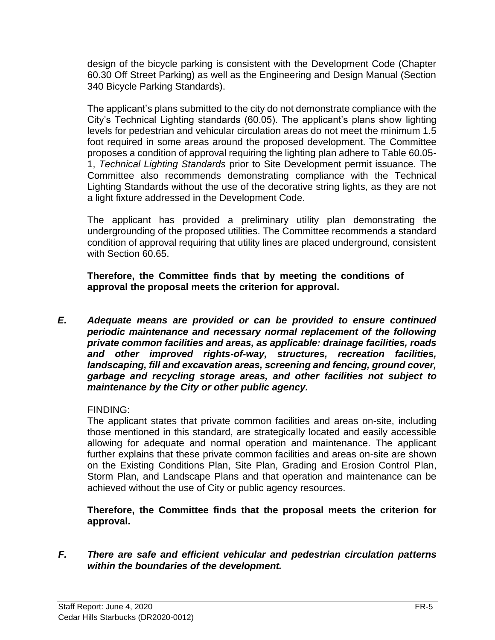design of the bicycle parking is consistent with the Development Code (Chapter 60.30 Off Street Parking) as well as the Engineering and Design Manual (Section 340 Bicycle Parking Standards).

The applicant's plans submitted to the city do not demonstrate compliance with the City's Technical Lighting standards (60.05). The applicant's plans show lighting levels for pedestrian and vehicular circulation areas do not meet the minimum 1.5 foot required in some areas around the proposed development. The Committee proposes a condition of approval requiring the lighting plan adhere to Table 60.05- 1, *Technical Lighting Standards* prior to Site Development permit issuance. The Committee also recommends demonstrating compliance with the Technical Lighting Standards without the use of the decorative string lights, as they are not a light fixture addressed in the Development Code.

The applicant has provided a preliminary utility plan demonstrating the undergrounding of the proposed utilities. The Committee recommends a standard condition of approval requiring that utility lines are placed underground, consistent with Section 60.65.

**Therefore, the Committee finds that by meeting the conditions of approval the proposal meets the criterion for approval.**

*E. Adequate means are provided or can be provided to ensure continued periodic maintenance and necessary normal replacement of the following private common facilities and areas, as applicable: drainage facilities, roads and other improved rights-of-way, structures, recreation facilities, landscaping, fill and excavation areas, screening and fencing, ground cover, garbage and recycling storage areas, and other facilities not subject to maintenance by the City or other public agency.*

#### FINDING:

The applicant states that private common facilities and areas on-site, including those mentioned in this standard, are strategically located and easily accessible allowing for adequate and normal operation and maintenance. The applicant further explains that these private common facilities and areas on-site are shown on the Existing Conditions Plan, Site Plan, Grading and Erosion Control Plan, Storm Plan, and Landscape Plans and that operation and maintenance can be achieved without the use of City or public agency resources.

**Therefore, the Committee finds that the proposal meets the criterion for approval.**

*F. There are safe and efficient vehicular and pedestrian circulation patterns within the boundaries of the development.*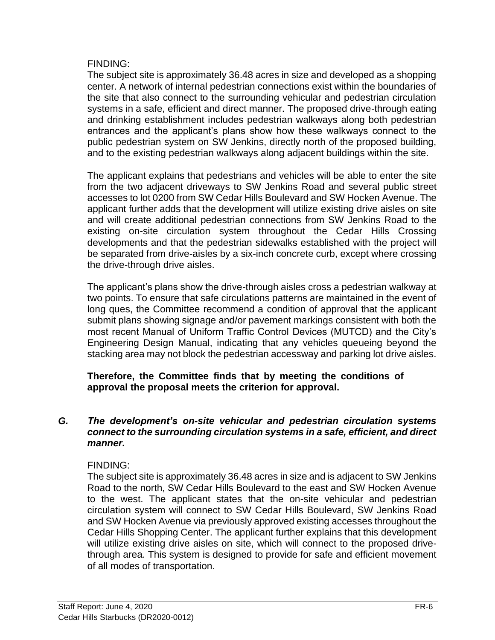#### FINDING:

The subject site is approximately 36.48 acres in size and developed as a shopping center. A network of internal pedestrian connections exist within the boundaries of the site that also connect to the surrounding vehicular and pedestrian circulation systems in a safe, efficient and direct manner. The proposed drive-through eating and drinking establishment includes pedestrian walkways along both pedestrian entrances and the applicant's plans show how these walkways connect to the public pedestrian system on SW Jenkins, directly north of the proposed building, and to the existing pedestrian walkways along adjacent buildings within the site.

The applicant explains that pedestrians and vehicles will be able to enter the site from the two adjacent driveways to SW Jenkins Road and several public street accesses to lot 0200 from SW Cedar Hills Boulevard and SW Hocken Avenue. The applicant further adds that the development will utilize existing drive aisles on site and will create additional pedestrian connections from SW Jenkins Road to the existing on-site circulation system throughout the Cedar Hills Crossing developments and that the pedestrian sidewalks established with the project will be separated from drive-aisles by a six-inch concrete curb, except where crossing the drive-through drive aisles.

The applicant's plans show the drive-through aisles cross a pedestrian walkway at two points. To ensure that safe circulations patterns are maintained in the event of long ques, the Committee recommend a condition of approval that the applicant submit plans showing signage and/or pavement markings consistent with both the most recent Manual of Uniform Traffic Control Devices (MUTCD) and the City's Engineering Design Manual, indicating that any vehicles queueing beyond the stacking area may not block the pedestrian accessway and parking lot drive aisles.

#### **Therefore, the Committee finds that by meeting the conditions of approval the proposal meets the criterion for approval.**

#### *G. The development's on-site vehicular and pedestrian circulation systems connect to the surrounding circulation systems in a safe, efficient, and direct manner.*

## FINDING:

The subject site is approximately 36.48 acres in size and is adjacent to SW Jenkins Road to the north, SW Cedar Hills Boulevard to the east and SW Hocken Avenue to the west. The applicant states that the on-site vehicular and pedestrian circulation system will connect to SW Cedar Hills Boulevard, SW Jenkins Road and SW Hocken Avenue via previously approved existing accesses throughout the Cedar Hills Shopping Center. The applicant further explains that this development will utilize existing drive aisles on site, which will connect to the proposed drivethrough area. This system is designed to provide for safe and efficient movement of all modes of transportation.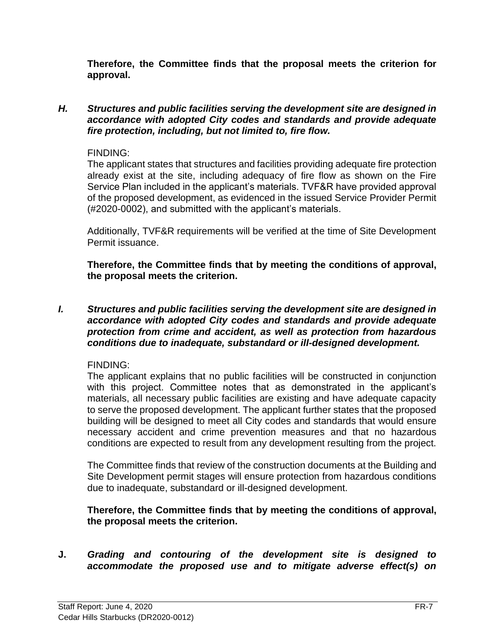**Therefore, the Committee finds that the proposal meets the criterion for approval.**

#### *H. Structures and public facilities serving the development site are designed in accordance with adopted City codes and standards and provide adequate fire protection, including, but not limited to, fire flow.*

#### FINDING:

The applicant states that structures and facilities providing adequate fire protection already exist at the site, including adequacy of fire flow as shown on the Fire Service Plan included in the applicant's materials. TVF&R have provided approval of the proposed development, as evidenced in the issued Service Provider Permit (#2020-0002), and submitted with the applicant's materials.

Additionally, TVF&R requirements will be verified at the time of Site Development Permit issuance.

**Therefore, the Committee finds that by meeting the conditions of approval, the proposal meets the criterion.** 

*I. Structures and public facilities serving the development site are designed in accordance with adopted City codes and standards and provide adequate protection from crime and accident, as well as protection from hazardous conditions due to inadequate, substandard or ill-designed development.*

#### FINDING:

The applicant explains that no public facilities will be constructed in conjunction with this project. Committee notes that as demonstrated in the applicant's materials, all necessary public facilities are existing and have adequate capacity to serve the proposed development. The applicant further states that the proposed building will be designed to meet all City codes and standards that would ensure necessary accident and crime prevention measures and that no hazardous conditions are expected to result from any development resulting from the project.

The Committee finds that review of the construction documents at the Building and Site Development permit stages will ensure protection from hazardous conditions due to inadequate, substandard or ill-designed development.

**Therefore, the Committee finds that by meeting the conditions of approval, the proposal meets the criterion.**

#### **J.** *Grading and contouring of the development site is designed to accommodate the proposed use and to mitigate adverse effect(s) on*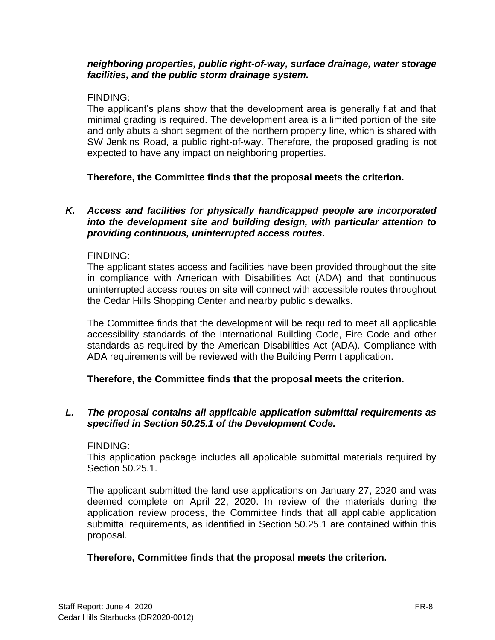#### *neighboring properties, public right-of-way, surface drainage, water storage facilities, and the public storm drainage system.*

#### FINDING:

The applicant's plans show that the development area is generally flat and that minimal grading is required. The development area is a limited portion of the site and only abuts a short segment of the northern property line, which is shared with SW Jenkins Road, a public right-of-way. Therefore, the proposed grading is not expected to have any impact on neighboring properties.

#### **Therefore, the Committee finds that the proposal meets the criterion.**

#### *K. Access and facilities for physically handicapped people are incorporated into the development site and building design, with particular attention to providing continuous, uninterrupted access routes.*

#### FINDING:

The applicant states access and facilities have been provided throughout the site in compliance with American with Disabilities Act (ADA) and that continuous uninterrupted access routes on site will connect with accessible routes throughout the Cedar Hills Shopping Center and nearby public sidewalks.

The Committee finds that the development will be required to meet all applicable accessibility standards of the International Building Code, Fire Code and other standards as required by the American Disabilities Act (ADA). Compliance with ADA requirements will be reviewed with the Building Permit application.

#### **Therefore, the Committee finds that the proposal meets the criterion.**

#### *L. The proposal contains all applicable application submittal requirements as specified in Section 50.25.1 of the Development Code.*

#### FINDING:

This application package includes all applicable submittal materials required by Section 50.25.1.

The applicant submitted the land use applications on January 27, 2020 and was deemed complete on April 22, 2020. In review of the materials during the application review process, the Committee finds that all applicable application submittal requirements, as identified in Section 50.25.1 are contained within this proposal.

#### **Therefore, Committee finds that the proposal meets the criterion.**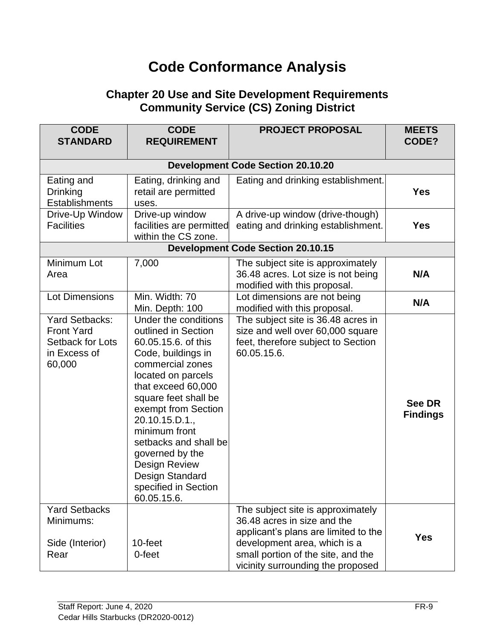# **Code Conformance Analysis**

## **Chapter 20 Use and Site Development Requirements Community Service (CS) Zoning District**

| <b>CODE</b><br><b>STANDARD</b>                                                           | <b>CODE</b><br><b>REQUIREMENT</b>                                                                                                                                                                                                                                                                                                                                 | <b>PROJECT PROPOSAL</b>                                                                                                                                                                                             | <b>MEETS</b><br>CODE?            |
|------------------------------------------------------------------------------------------|-------------------------------------------------------------------------------------------------------------------------------------------------------------------------------------------------------------------------------------------------------------------------------------------------------------------------------------------------------------------|---------------------------------------------------------------------------------------------------------------------------------------------------------------------------------------------------------------------|----------------------------------|
|                                                                                          |                                                                                                                                                                                                                                                                                                                                                                   | <b>Development Code Section 20.10.20</b>                                                                                                                                                                            |                                  |
| Eating and<br><b>Drinking</b><br>Establishments                                          | Eating, drinking and<br>retail are permitted<br>uses.                                                                                                                                                                                                                                                                                                             | Eating and drinking establishment.                                                                                                                                                                                  | <b>Yes</b>                       |
| Drive-Up Window<br><b>Facilities</b>                                                     | Drive-up window<br>facilities are permitted<br>within the CS zone.                                                                                                                                                                                                                                                                                                | A drive-up window (drive-though)<br>eating and drinking establishment.                                                                                                                                              | <b>Yes</b>                       |
|                                                                                          |                                                                                                                                                                                                                                                                                                                                                                   | <b>Development Code Section 20.10.15</b>                                                                                                                                                                            |                                  |
| Minimum Lot<br>Area                                                                      | 7,000                                                                                                                                                                                                                                                                                                                                                             | The subject site is approximately<br>36.48 acres. Lot size is not being<br>modified with this proposal.                                                                                                             | N/A                              |
| <b>Lot Dimensions</b>                                                                    | Min. Width: 70<br>Min. Depth: 100                                                                                                                                                                                                                                                                                                                                 | Lot dimensions are not being<br>modified with this proposal.                                                                                                                                                        | N/A                              |
| <b>Yard Setbacks:</b><br><b>Front Yard</b><br>Setback for Lots<br>in Excess of<br>60,000 | Under the conditions<br>outlined in Section<br>60.05.15.6. of this<br>Code, buildings in<br>commercial zones<br>located on parcels<br>that exceed 60,000<br>square feet shall be<br>exempt from Section<br>20.10.15.D.1.,<br>minimum front<br>setbacks and shall be<br>governed by the<br>Design Review<br>Design Standard<br>specified in Section<br>60.05.15.6. | The subject site is 36.48 acres in<br>size and well over 60,000 square<br>feet, therefore subject to Section<br>60.05.15.6.                                                                                         | <b>See DR</b><br><b>Findings</b> |
| <b>Yard Setbacks</b><br>Minimums:<br>Side (Interior)<br>Rear                             | 10-feet<br>0-feet                                                                                                                                                                                                                                                                                                                                                 | The subject site is approximately<br>36.48 acres in size and the<br>applicant's plans are limited to the<br>development area, which is a<br>small portion of the site, and the<br>vicinity surrounding the proposed | <b>Yes</b>                       |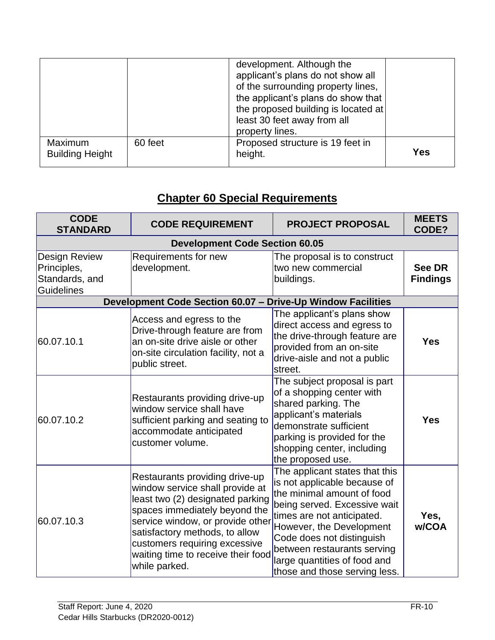|                                          |         | development. Although the<br>applicant's plans do not show all<br>of the surrounding property lines,<br>the applicant's plans do show that<br>the proposed building is located at<br>least 30 feet away from all<br>property lines. |            |
|------------------------------------------|---------|-------------------------------------------------------------------------------------------------------------------------------------------------------------------------------------------------------------------------------------|------------|
| <b>Maximum</b><br><b>Building Height</b> | 60 feet | Proposed structure is 19 feet in<br>height.                                                                                                                                                                                         | <b>Yes</b> |

# **Chapter 60 Special Requirements**

| <b>CODE</b><br><b>STANDARD</b>                                             | <b>CODE REQUIREMENT</b>                                                                                                                                                                                                                                                                              | <b>PROJECT PROPOSAL</b>                                                                                                                                                                                                                                                                                             | <b>MEETS</b><br>CODE?            |
|----------------------------------------------------------------------------|------------------------------------------------------------------------------------------------------------------------------------------------------------------------------------------------------------------------------------------------------------------------------------------------------|---------------------------------------------------------------------------------------------------------------------------------------------------------------------------------------------------------------------------------------------------------------------------------------------------------------------|----------------------------------|
|                                                                            | <b>Development Code Section 60.05</b>                                                                                                                                                                                                                                                                |                                                                                                                                                                                                                                                                                                                     |                                  |
| <b>Design Review</b><br>Principles,<br>Standards, and<br><b>Guidelines</b> | Requirements for new<br>development.                                                                                                                                                                                                                                                                 | The proposal is to construct<br>two new commercial<br>buildings.                                                                                                                                                                                                                                                    | <b>See DR</b><br><b>Findings</b> |
|                                                                            | Development Code Section 60.07 - Drive-Up Window Facilities                                                                                                                                                                                                                                          |                                                                                                                                                                                                                                                                                                                     |                                  |
| 60.07.10.1                                                                 | Access and egress to the<br>Drive-through feature are from<br>an on-site drive aisle or other<br>on-site circulation facility, not a<br>public street.                                                                                                                                               | The applicant's plans show<br>direct access and egress to<br>the drive-through feature are<br>provided from an on-site<br>drive-aisle and not a public<br>street.                                                                                                                                                   | <b>Yes</b>                       |
| 60.07.10.2                                                                 | Restaurants providing drive-up<br>window service shall have<br>sufficient parking and seating to<br>accommodate anticipated<br>customer volume.                                                                                                                                                      | The subject proposal is part<br>of a shopping center with<br>shared parking. The<br>applicant's materials<br>demonstrate sufficient<br>parking is provided for the<br>shopping center, including<br>the proposed use.                                                                                               | <b>Yes</b>                       |
| 60.07.10.3                                                                 | Restaurants providing drive-up<br>window service shall provide at<br>least two (2) designated parking<br>spaces immediately beyond the<br>service window, or provide other<br>satisfactory methods, to allow<br>customers requiring excessive<br>waiting time to receive their food<br>while parked. | The applicant states that this<br>is not applicable because of<br>the minimal amount of food<br>being served. Excessive wait<br>times are not anticipated.<br>However, the Development<br>Code does not distinguish<br>between restaurants serving<br>large quantities of food and<br>those and those serving less. | Yes,<br>w/COA                    |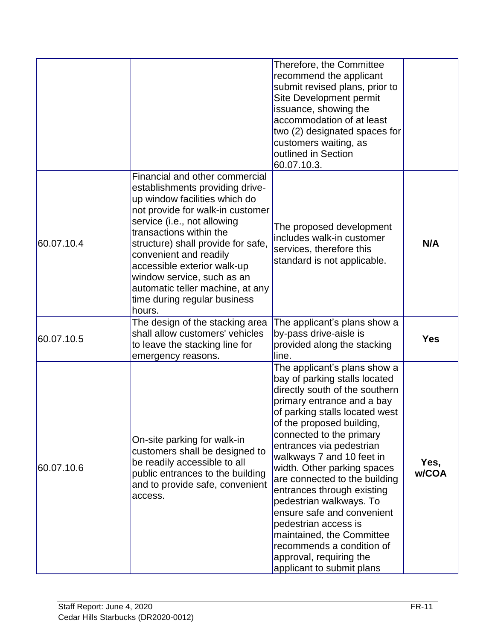|            |                                                                                                                                                                                                                                                                                                                                                                                                             | Therefore, the Committee<br>recommend the applicant<br>submit revised plans, prior to<br><b>Site Development permit</b><br>issuance, showing the<br>accommodation of at least<br>two (2) designated spaces for<br>customers waiting, as<br>outlined in Section<br>60.07.10.3.                                                                                                                                                                                                                                                                                                      |               |
|------------|-------------------------------------------------------------------------------------------------------------------------------------------------------------------------------------------------------------------------------------------------------------------------------------------------------------------------------------------------------------------------------------------------------------|------------------------------------------------------------------------------------------------------------------------------------------------------------------------------------------------------------------------------------------------------------------------------------------------------------------------------------------------------------------------------------------------------------------------------------------------------------------------------------------------------------------------------------------------------------------------------------|---------------|
| 60.07.10.4 | Financial and other commercial<br>establishments providing drive-<br>up window facilities which do<br>not provide for walk-in customer<br>service (i.e., not allowing<br>transactions within the<br>structure) shall provide for safe,<br>convenient and readily<br>accessible exterior walk-up<br>window service, such as an<br>automatic teller machine, at any<br>time during regular business<br>hours. | The proposed development<br>includes walk-in customer<br>services, therefore this<br>standard is not applicable.                                                                                                                                                                                                                                                                                                                                                                                                                                                                   | N/A           |
| 60.07.10.5 | The design of the stacking area<br>shall allow customers' vehicles<br>to leave the stacking line for<br>emergency reasons.                                                                                                                                                                                                                                                                                  | The applicant's plans show a<br>by-pass drive-aisle is<br>provided along the stacking<br>line.                                                                                                                                                                                                                                                                                                                                                                                                                                                                                     | <b>Yes</b>    |
| 60.07.10.6 | On-site parking for walk-in<br>customers shall be designed to<br>be readily accessible to all<br>public entrances to the building<br>and to provide safe, convenient<br>access.                                                                                                                                                                                                                             | The applicant's plans show a<br>bay of parking stalls located<br>directly south of the southern<br>primary entrance and a bay<br>of parking stalls located west<br>of the proposed building,<br>connected to the primary<br>entrances via pedestrian<br>walkways 7 and 10 feet in<br>width. Other parking spaces<br>are connected to the building<br>entrances through existing<br>pedestrian walkways. To<br>ensure safe and convenient<br>pedestrian access is<br>maintained, the Committee<br>recommends a condition of<br>approval, requiring the<br>applicant to submit plans | Yes,<br>w/COA |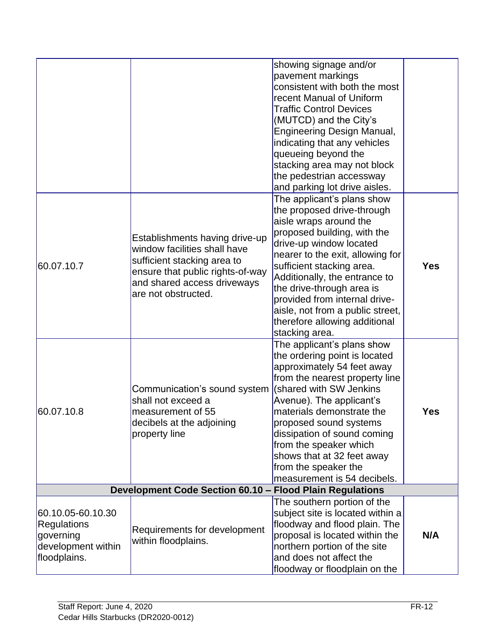|                                                                                            |                                                                                                                                                                                         | showing signage and/or<br>pavement markings<br>consistent with both the most<br>recent Manual of Uniform<br><b>Traffic Control Devices</b><br>(MUTCD) and the City's<br><b>Engineering Design Manual,</b><br>indicating that any vehicles<br>queueing beyond the<br>stacking area may not block<br>the pedestrian accessway<br>and parking lot drive aisles.                                        |            |
|--------------------------------------------------------------------------------------------|-----------------------------------------------------------------------------------------------------------------------------------------------------------------------------------------|-----------------------------------------------------------------------------------------------------------------------------------------------------------------------------------------------------------------------------------------------------------------------------------------------------------------------------------------------------------------------------------------------------|------------|
| 60.07.10.7                                                                                 | Establishments having drive-up<br>window facilities shall have<br>sufficient stacking area to<br>ensure that public rights-of-way<br>and shared access driveways<br>are not obstructed. | The applicant's plans show<br>the proposed drive-through<br>aisle wraps around the<br>proposed building, with the<br>drive-up window located<br>nearer to the exit, allowing for<br>sufficient stacking area.<br>Additionally, the entrance to<br>the drive-through area is<br>provided from internal drive-<br>aisle, not from a public street,<br>therefore allowing additional<br>stacking area. | <b>Yes</b> |
| 60.07.10.8                                                                                 | Communication's sound system<br>shall not exceed a<br>measurement of 55<br>decibels at the adjoining<br>property line                                                                   | The applicant's plans show<br>the ordering point is located<br>approximately 54 feet away<br>from the nearest property line<br>(shared with SW Jenkins<br>Avenue). The applicant's<br>materials demonstrate the<br>proposed sound systems<br>dissipation of sound coming<br>from the speaker which<br>shows that at 32 feet away<br>from the speaker the<br>measurement is 54 decibels.             | <b>Yes</b> |
|                                                                                            | Development Code Section 60.10 - Flood Plain Regulations                                                                                                                                |                                                                                                                                                                                                                                                                                                                                                                                                     |            |
| 60.10.05-60.10.30<br><b>Regulations</b><br>governing<br>development within<br>floodplains. | Requirements for development<br>within floodplains.                                                                                                                                     | The southern portion of the<br>subject site is located within a<br>floodway and flood plain. The<br>proposal is located within the<br>northern portion of the site<br>and does not affect the<br>floodway or floodplain on the                                                                                                                                                                      | N/A        |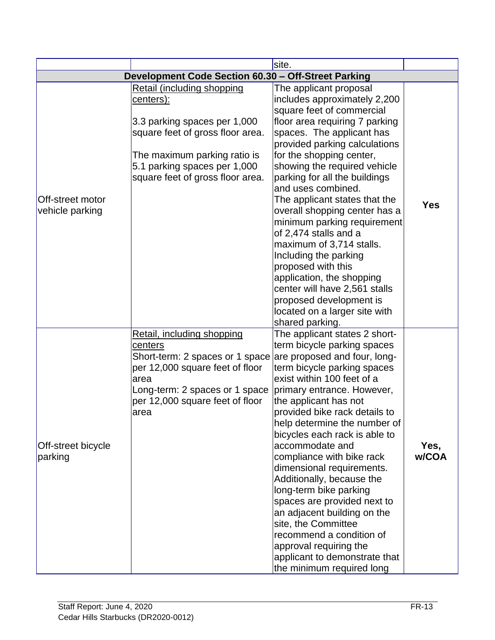|                               |                                                              | site.                                               |               |
|-------------------------------|--------------------------------------------------------------|-----------------------------------------------------|---------------|
|                               | Development Code Section 60.30 - Off-Street Parking          |                                                     |               |
|                               | Retail (including shopping                                   | The applicant proposal                              |               |
|                               | centers):                                                    | includes approximately 2,200                        |               |
|                               |                                                              | square feet of commercial                           |               |
|                               | 3.3 parking spaces per 1,000                                 | floor area requiring 7 parking                      |               |
|                               | square feet of gross floor area.                             | spaces. The applicant has                           |               |
|                               |                                                              | provided parking calculations                       |               |
|                               | The maximum parking ratio is                                 | for the shopping center,                            |               |
|                               | 5.1 parking spaces per 1,000                                 | showing the required vehicle                        |               |
|                               | square feet of gross floor area.                             | parking for all the buildings<br>and uses combined. |               |
| Off-street motor              |                                                              | The applicant states that the                       |               |
| vehicle parking               |                                                              | overall shopping center has a                       | <b>Yes</b>    |
|                               |                                                              | minimum parking requirement                         |               |
|                               |                                                              | of 2,474 stalls and a                               |               |
|                               |                                                              | maximum of 3,714 stalls.                            |               |
|                               |                                                              | Including the parking                               |               |
|                               |                                                              | proposed with this                                  |               |
|                               |                                                              | application, the shopping                           |               |
|                               |                                                              | center will have 2,561 stalls                       |               |
|                               |                                                              | proposed development is                             |               |
|                               |                                                              | located on a larger site with                       |               |
|                               |                                                              | shared parking.<br>The applicant states 2 short-    |               |
|                               | Retail, including shopping<br>centers                        | term bicycle parking spaces                         |               |
|                               | Short-term: 2 spaces or 1 space are proposed and four, long- |                                                     |               |
|                               | per 12,000 square feet of floor                              | term bicycle parking spaces                         |               |
|                               | area                                                         | exist within 100 feet of a                          |               |
|                               | Long-term: 2 spaces or 1 space   primary entrance. However,  |                                                     |               |
|                               | per 12,000 square feet of floor                              | the applicant has not                               |               |
|                               | area                                                         | provided bike rack details to                       |               |
|                               |                                                              | help determine the number of                        |               |
|                               |                                                              | bicycles each rack is able to<br>accommodate and    |               |
| Off-street bicycle<br>parking |                                                              | compliance with bike rack                           | Yes,<br>w/COA |
|                               |                                                              | dimensional requirements.                           |               |
|                               |                                                              | Additionally, because the                           |               |
|                               |                                                              | long-term bike parking                              |               |
|                               |                                                              | spaces are provided next to                         |               |
|                               |                                                              | an adjacent building on the                         |               |
|                               |                                                              | site, the Committee                                 |               |
|                               |                                                              | recommend a condition of                            |               |
|                               |                                                              | approval requiring the                              |               |
|                               |                                                              | applicant to demonstrate that                       |               |
|                               |                                                              | the minimum required long                           |               |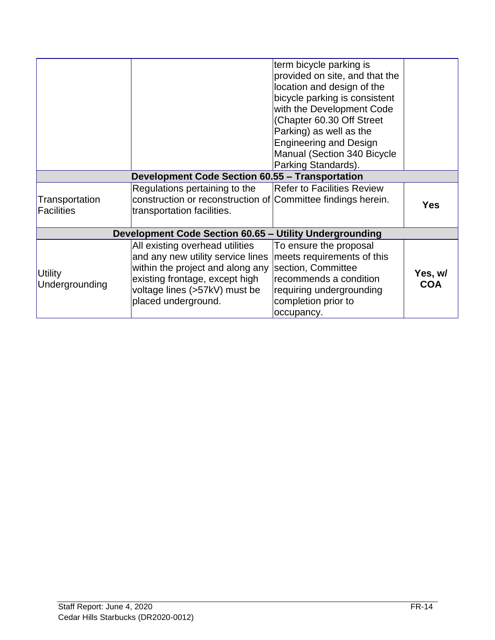|                |                                                              | term bicycle parking is           |                       |
|----------------|--------------------------------------------------------------|-----------------------------------|-----------------------|
|                |                                                              | provided on site, and that the    |                       |
|                |                                                              | location and design of the        |                       |
|                |                                                              | bicycle parking is consistent     |                       |
|                |                                                              | with the Development Code         |                       |
|                |                                                              | (Chapter 60.30 Off Street         |                       |
|                |                                                              | Parking) as well as the           |                       |
|                |                                                              | <b>Engineering and Design</b>     |                       |
|                |                                                              | Manual (Section 340 Bicycle       |                       |
|                |                                                              | Parking Standards).               |                       |
|                | Development Code Section 60.55 - Transportation              |                                   |                       |
|                | Regulations pertaining to the                                | <b>Refer to Facilities Review</b> |                       |
| Transportation | construction or reconstruction of Committee findings herein. |                                   |                       |
| Facilities     | transportation facilities.                                   |                                   | <b>Yes</b>            |
|                |                                                              |                                   |                       |
|                | Development Code Section 60.65 - Utility Undergrounding      |                                   |                       |
|                | All existing overhead utilities                              | To ensure the proposal            |                       |
|                | and any new utility service lines                            | meets requirements of this        |                       |
|                | within the project and along any section, Committee          |                                   |                       |
| Utility        | existing frontage, except high                               | recommends a condition            | Yes, w/<br><b>COA</b> |
| Undergrounding | voltage lines (>57kV) must be                                | requiring undergrounding          |                       |
|                | placed underground.                                          | completion prior to               |                       |
|                |                                                              | occupancy.                        |                       |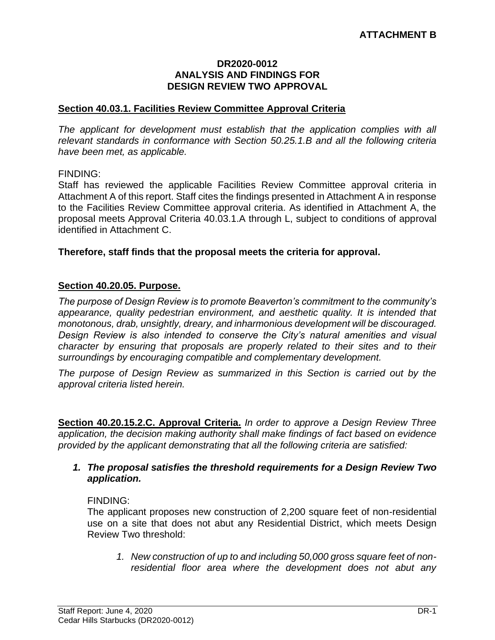#### **DR2020-0012 ANALYSIS AND FINDINGS FOR DESIGN REVIEW TWO APPROVAL**

#### **Section 40.03.1. Facilities Review Committee Approval Criteria**

*The applicant for development must establish that the application complies with all relevant standards in conformance with Section 50.25.1.B and all the following criteria have been met, as applicable.* 

#### FINDING:

Staff has reviewed the applicable Facilities Review Committee approval criteria in Attachment A of this report. Staff cites the findings presented in Attachment A in response to the Facilities Review Committee approval criteria. As identified in Attachment A, the proposal meets Approval Criteria 40.03.1.A through L, subject to conditions of approval identified in Attachment C.

#### **Therefore, staff finds that the proposal meets the criteria for approval.**

#### **Section 40.20.05. Purpose.**

*The purpose of Design Review is to promote Beaverton's commitment to the community's appearance, quality pedestrian environment, and aesthetic quality. It is intended that monotonous, drab, unsightly, dreary, and inharmonious development will be discouraged. Design Review is also intended to conserve the City's natural amenities and visual character by ensuring that proposals are properly related to their sites and to their surroundings by encouraging compatible and complementary development.* 

*The purpose of Design Review as summarized in this Section is carried out by the approval criteria listed herein.*

**Section 40.20.15.2.C. Approval Criteria.** *In order to approve a Design Review Three application, the decision making authority shall make findings of fact based on evidence provided by the applicant demonstrating that all the following criteria are satisfied:*

#### *1. The proposal satisfies the threshold requirements for a Design Review Two application.*

#### FINDING:

The applicant proposes new construction of 2,200 square feet of non-residential use on a site that does not abut any Residential District, which meets Design Review Two threshold:

*1. New construction of up to and including 50,000 gross square feet of nonresidential floor area where the development does not abut any*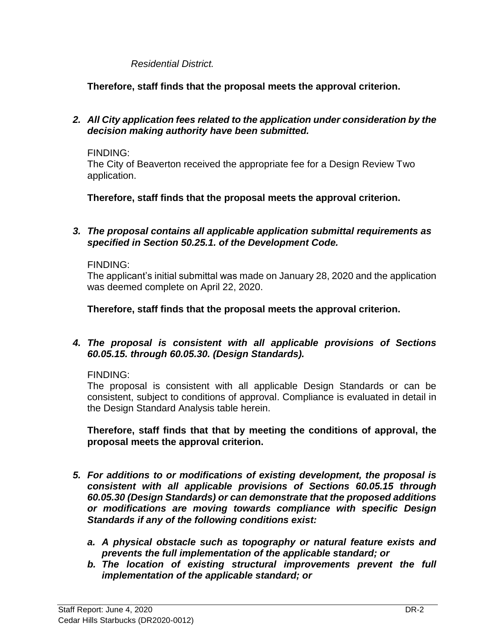#### *Residential District.*

**Therefore, staff finds that the proposal meets the approval criterion.**

*2. All City application fees related to the application under consideration by the decision making authority have been submitted.*

#### FINDING:

The City of Beaverton received the appropriate fee for a Design Review Two application.

**Therefore, staff finds that the proposal meets the approval criterion.**

#### *3. The proposal contains all applicable application submittal requirements as specified in Section 50.25.1. of the Development Code.*

#### FINDING:

The applicant's initial submittal was made on January 28, 2020 and the application was deemed complete on April 22, 2020.

**Therefore, staff finds that the proposal meets the approval criterion.**

#### *4. The proposal is consistent with all applicable provisions of Sections 60.05.15. through 60.05.30. (Design Standards).*

FINDING:

The proposal is consistent with all applicable Design Standards or can be consistent, subject to conditions of approval. Compliance is evaluated in detail in the Design Standard Analysis table herein.

**Therefore, staff finds that that by meeting the conditions of approval, the proposal meets the approval criterion.**

- *5. For additions to or modifications of existing development, the proposal is consistent with all applicable provisions of Sections 60.05.15 through 60.05.30 (Design Standards) or can demonstrate that the proposed additions or modifications are moving towards compliance with specific Design Standards if any of the following conditions exist:*
	- *a. A physical obstacle such as topography or natural feature exists and prevents the full implementation of the applicable standard; or*
	- *b. The location of existing structural improvements prevent the full implementation of the applicable standard; or*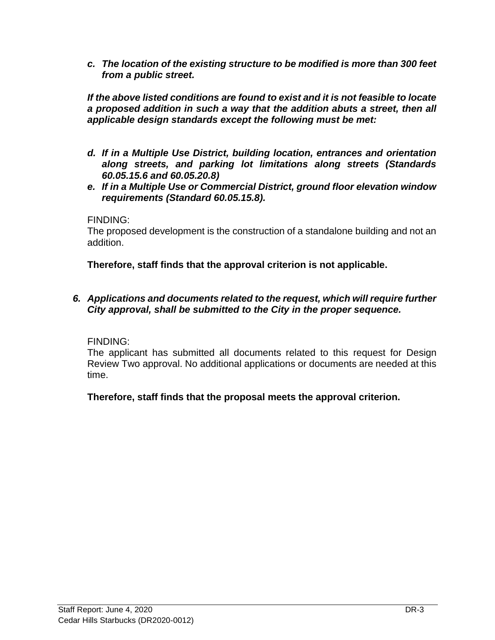*c. The location of the existing structure to be modified is more than 300 feet from a public street.* 

*If the above listed conditions are found to exist and it is not feasible to locate a proposed addition in such a way that the addition abuts a street, then all applicable design standards except the following must be met:*

- *d. If in a Multiple Use District, building location, entrances and orientation along streets, and parking lot limitations along streets (Standards 60.05.15.6 and 60.05.20.8)*
- *e. If in a Multiple Use or Commercial District, ground floor elevation window requirements (Standard 60.05.15.8).*

FINDING:

The proposed development is the construction of a standalone building and not an addition.

**Therefore, staff finds that the approval criterion is not applicable.**

*6. Applications and documents related to the request, which will require further City approval, shall be submitted to the City in the proper sequence.*

FINDING:

The applicant has submitted all documents related to this request for Design Review Two approval. No additional applications or documents are needed at this time.

**Therefore, staff finds that the proposal meets the approval criterion.**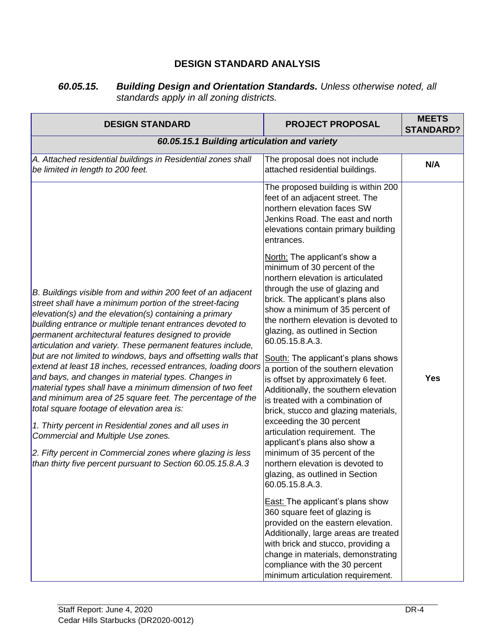## **DESIGN STANDARD ANALYSIS**

#### *60.05.15. Building Design and Orientation Standards. Unless otherwise noted, all standards apply in all zoning districts.*

| <b>DESIGN STANDARD</b>                                                                                                                                                                                                                                                                                                                                                                                                                                                                                                                                                                     | <b>PROJECT PROPOSAL</b>                                                                                                                                                                                                                                                                                                                                                                                                                                     | <b>MEETS</b><br><b>STANDARD?</b> |
|--------------------------------------------------------------------------------------------------------------------------------------------------------------------------------------------------------------------------------------------------------------------------------------------------------------------------------------------------------------------------------------------------------------------------------------------------------------------------------------------------------------------------------------------------------------------------------------------|-------------------------------------------------------------------------------------------------------------------------------------------------------------------------------------------------------------------------------------------------------------------------------------------------------------------------------------------------------------------------------------------------------------------------------------------------------------|----------------------------------|
| 60.05.15.1 Building articulation and variety                                                                                                                                                                                                                                                                                                                                                                                                                                                                                                                                               |                                                                                                                                                                                                                                                                                                                                                                                                                                                             |                                  |
| A. Attached residential buildings in Residential zones shall<br>be limited in length to 200 feet.                                                                                                                                                                                                                                                                                                                                                                                                                                                                                          | The proposal does not include<br>attached residential buildings.                                                                                                                                                                                                                                                                                                                                                                                            | N/A                              |
|                                                                                                                                                                                                                                                                                                                                                                                                                                                                                                                                                                                            | The proposed building is within 200<br>feet of an adjacent street. The<br>northern elevation faces SW<br>Jenkins Road. The east and north<br>elevations contain primary building<br>entrances.                                                                                                                                                                                                                                                              |                                  |
| B. Buildings visible from and within 200 feet of an adjacent<br>street shall have a minimum portion of the street-facing<br>$e$ levation(s) and the elevation(s) containing a primary<br>building entrance or multiple tenant entrances devoted to<br>permanent architectural features designed to provide<br>articulation and variety. These permanent features include,                                                                                                                                                                                                                  | North: The applicant's show a<br>minimum of 30 percent of the<br>northern elevation is articulated<br>through the use of glazing and<br>brick. The applicant's plans also<br>show a minimum of 35 percent of<br>the northern elevation is devoted to<br>glazing, as outlined in Section<br>60.05.15.8.A.3.                                                                                                                                                  |                                  |
| but are not limited to windows, bays and offsetting walls that<br>extend at least 18 inches, recessed entrances, loading doors<br>and bays, and changes in material types. Changes in<br>material types shall have a minimum dimension of two feet<br>and minimum area of 25 square feet. The percentage of the<br>total square footage of elevation area is:<br>1. Thirty percent in Residential zones and all uses in<br>Commercial and Multiple Use zones.<br>2. Fifty percent in Commercial zones where glazing is less<br>than thirty five percent pursuant to Section 60.05.15.8.A.3 | South: The applicant's plans shows<br>a portion of the southern elevation<br>is offset by approximately 6 feet.<br>Additionally, the southern elevation<br>is treated with a combination of<br>brick, stucco and glazing materials,<br>exceeding the 30 percent<br>articulation requirement. The<br>applicant's plans also show a<br>minimum of 35 percent of the<br>northern elevation is devoted to<br>glazing, as outlined in Section<br>60.05.15.8.A.3. | <b>Yes</b>                       |
|                                                                                                                                                                                                                                                                                                                                                                                                                                                                                                                                                                                            | <b>East:</b> The applicant's plans show<br>360 square feet of glazing is<br>provided on the eastern elevation.<br>Additionally, large areas are treated<br>with brick and stucco, providing a<br>change in materials, demonstrating<br>compliance with the 30 percent<br>minimum articulation requirement.                                                                                                                                                  |                                  |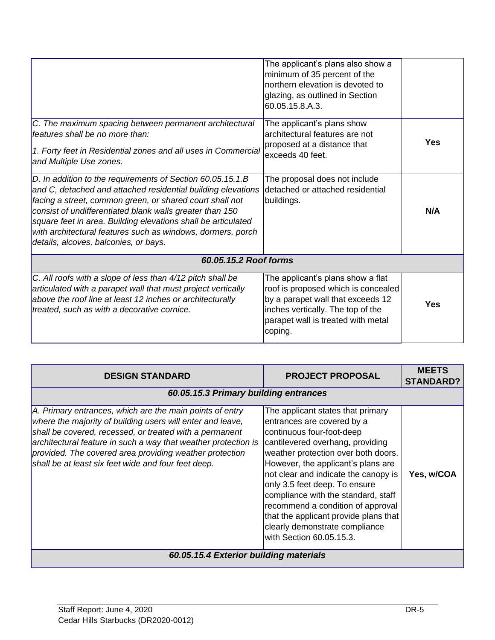| details, alcoves, balconies, or bays.<br>60.05.15.2 Roof forms<br>C. All roofs with a slope of less than 4/12 pitch shall be<br>articulated with a parapet wall that must project vertically<br>above the roof line at least 12 inches or architecturally<br>treated, such as with a decorative cornice.                                                                           | The applicant's plans show a flat<br>roof is proposed which is concealed<br>by a parapet wall that exceeds 12<br>inches vertically. The top of the<br>parapet wall is treated with metal<br>coping. | Yes        |
|------------------------------------------------------------------------------------------------------------------------------------------------------------------------------------------------------------------------------------------------------------------------------------------------------------------------------------------------------------------------------------|-----------------------------------------------------------------------------------------------------------------------------------------------------------------------------------------------------|------------|
| D. In addition to the requirements of Section 60.05.15.1.B<br>and C, detached and attached residential building elevations<br>facing a street, common green, or shared court shall not<br>consist of undifferentiated blank walls greater than 150<br>square feet in area. Building elevations shall be articulated<br>with architectural features such as windows, dormers, porch | The proposal does not include<br>detached or attached residential<br>buildings.                                                                                                                     | N/A        |
| C. The maximum spacing between permanent architectural<br>features shall be no more than:<br>1. Forty feet in Residential zones and all uses in Commercial<br>and Multiple Use zones.                                                                                                                                                                                              | The applicant's plans show<br>architectural features are not<br>proposed at a distance that<br>exceeds 40 feet.                                                                                     | <b>Yes</b> |
|                                                                                                                                                                                                                                                                                                                                                                                    | The applicant's plans also show a<br>minimum of 35 percent of the<br>northern elevation is devoted to<br>glazing, as outlined in Section<br>60.05.15.8.A.3.                                         |            |

| <b>DESIGN STANDARD</b>                                                                                                                                                                                                                                                                                                                                                | <b>PROJECT PROPOSAL</b>                                                                                                                                                                                                                                                                                                                                                                                                                                                   | <b>MEETS</b><br><b>STANDARD?</b> |
|-----------------------------------------------------------------------------------------------------------------------------------------------------------------------------------------------------------------------------------------------------------------------------------------------------------------------------------------------------------------------|---------------------------------------------------------------------------------------------------------------------------------------------------------------------------------------------------------------------------------------------------------------------------------------------------------------------------------------------------------------------------------------------------------------------------------------------------------------------------|----------------------------------|
| 60.05.15.3 Primary building entrances                                                                                                                                                                                                                                                                                                                                 |                                                                                                                                                                                                                                                                                                                                                                                                                                                                           |                                  |
| A. Primary entrances, which are the main points of entry<br>where the majority of building users will enter and leave,<br>shall be covered, recessed, or treated with a permanent<br>architectural feature in such a way that weather protection is<br>provided. The covered area providing weather protection<br>shall be at least six feet wide and four feet deep. | The applicant states that primary<br>entrances are covered by a<br>continuous four-foot-deep<br>cantilevered overhang, providing<br>weather protection over both doors.<br>However, the applicant's plans are<br>not clear and indicate the canopy is<br>only 3.5 feet deep. To ensure<br>compliance with the standard, staff<br>recommend a condition of approval<br>that the applicant provide plans that<br>clearly demonstrate compliance<br>with Section 60.05.15.3. | Yes, w/COA                       |
| 60.05.15.4 Exterior building materials                                                                                                                                                                                                                                                                                                                                |                                                                                                                                                                                                                                                                                                                                                                                                                                                                           |                                  |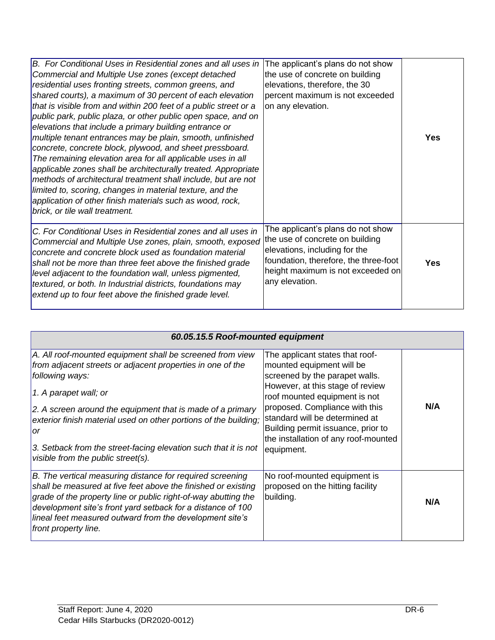| B. For Conditional Uses in Residential zones and all uses in     | The applicant's plans do not show     |            |
|------------------------------------------------------------------|---------------------------------------|------------|
| Commercial and Multiple Use zones (except detached               | the use of concrete on building       |            |
| residential uses fronting streets, common greens, and            | elevations, therefore, the 30         |            |
| shared courts), a maximum of 30 percent of each elevation        | percent maximum is not exceeded       |            |
| that is visible from and within 200 feet of a public street or a | on any elevation.                     |            |
| public park, public plaza, or other public open space, and on    |                                       |            |
| elevations that include a primary building entrance or           |                                       |            |
| multiple tenant entrances may be plain, smooth, unfinished       |                                       | <b>Yes</b> |
| concrete, concrete block, plywood, and sheet pressboard.         |                                       |            |
| The remaining elevation area for all applicable uses in all      |                                       |            |
| applicable zones shall be architecturally treated. Appropriate   |                                       |            |
| methods of architectural treatment shall include, but are not    |                                       |            |
| limited to, scoring, changes in material texture, and the        |                                       |            |
| application of other finish materials such as wood, rock,        |                                       |            |
| brick, or tile wall treatment.                                   |                                       |            |
|                                                                  | The applicant's plans do not show     |            |
| C. For Conditional Uses in Residential zones and all uses in     | the use of concrete on building       |            |
| Commercial and Multiple Use zones, plain, smooth, exposed        | elevations, including for the         |            |
| concrete and concrete block used as foundation material          | foundation, therefore, the three-foot |            |
| shall not be more than three feet above the finished grade       | height maximum is not exceeded on     | Yes        |
| level adjacent to the foundation wall, unless pigmented,         | any elevation.                        |            |
| textured, or both. In Industrial districts, foundations may      |                                       |            |
| extend up to four feet above the finished grade level.           |                                       |            |
|                                                                  |                                       |            |

| 60.05.15.5 Roof-mounted equipment                                                                                                                                                                                                                                                                                                                                                                                        |                                                                                                                                                                                                                                                                                                                                     |     |
|--------------------------------------------------------------------------------------------------------------------------------------------------------------------------------------------------------------------------------------------------------------------------------------------------------------------------------------------------------------------------------------------------------------------------|-------------------------------------------------------------------------------------------------------------------------------------------------------------------------------------------------------------------------------------------------------------------------------------------------------------------------------------|-----|
| A. All roof-mounted equipment shall be screened from view<br>from adjacent streets or adjacent properties in one of the<br>following ways:<br>1. A parapet wall; or<br>$ 2.$ A screen around the equipment that is made of a primary<br>exterior finish material used on other portions of the building;<br> or<br>3. Setback from the street-facing elevation such that it is not<br>visible from the public street(s). | The applicant states that roof-<br>mounted equipment will be<br>screened by the parapet walls.<br>However, at this stage of review<br>roof mounted equipment is not<br>proposed. Compliance with this<br>standard will be determined at<br>Building permit issuance, prior to<br>the installation of any roof-mounted<br>equipment. | N/A |
| B. The vertical measuring distance for required screening<br>shall be measured at five feet above the finished or existing<br>grade of the property line or public right-of-way abutting the<br>development site's front yard setback for a distance of 100<br>lineal feet measured outward from the development site's<br>front property line.                                                                          | No roof-mounted equipment is<br>proposed on the hitting facility<br>building.                                                                                                                                                                                                                                                       | N/A |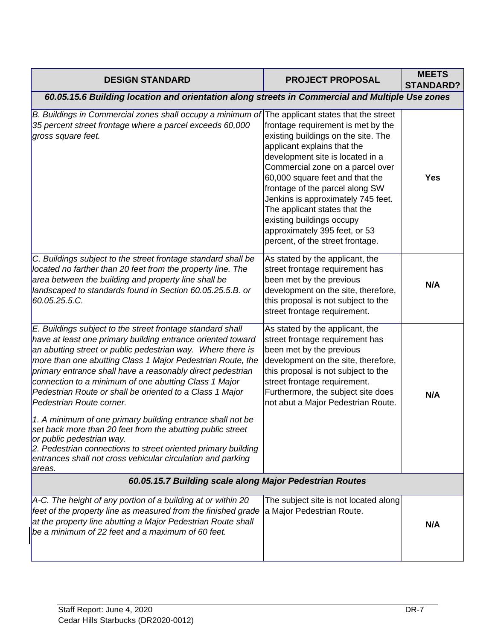| <b>DESIGN STANDARD</b>                                                                                                                                                                                                                                                                                                                                                                                                                                                                                                                                                                                                                                                                                                                                                   | <b>PROJECT PROPOSAL</b>                                                                                                                                                                                                                                                                                                                                                                                                                                                 | <b>MEETS</b><br><b>STANDARD?</b> |
|--------------------------------------------------------------------------------------------------------------------------------------------------------------------------------------------------------------------------------------------------------------------------------------------------------------------------------------------------------------------------------------------------------------------------------------------------------------------------------------------------------------------------------------------------------------------------------------------------------------------------------------------------------------------------------------------------------------------------------------------------------------------------|-------------------------------------------------------------------------------------------------------------------------------------------------------------------------------------------------------------------------------------------------------------------------------------------------------------------------------------------------------------------------------------------------------------------------------------------------------------------------|----------------------------------|
| 60.05.15.6 Building location and orientation along streets in Commercial and Multiple Use zones                                                                                                                                                                                                                                                                                                                                                                                                                                                                                                                                                                                                                                                                          |                                                                                                                                                                                                                                                                                                                                                                                                                                                                         |                                  |
| B. Buildings in Commercial zones shall occupy a minimum of<br>35 percent street frontage where a parcel exceeds 60,000<br>gross square feet.                                                                                                                                                                                                                                                                                                                                                                                                                                                                                                                                                                                                                             | The applicant states that the street<br>frontage requirement is met by the<br>existing buildings on the site. The<br>applicant explains that the<br>development site is located in a<br>Commercial zone on a parcel over<br>60,000 square feet and that the<br>frontage of the parcel along SW<br>Jenkins is approximately 745 feet.<br>The applicant states that the<br>existing buildings occupy<br>approximately 395 feet, or 53<br>percent, of the street frontage. | <b>Yes</b>                       |
| C. Buildings subject to the street frontage standard shall be<br>located no farther than 20 feet from the property line. The<br>area between the building and property line shall be<br>landscaped to standards found in Section 60.05.25.5.B. or<br>60.05.25.5.C.                                                                                                                                                                                                                                                                                                                                                                                                                                                                                                       | As stated by the applicant, the<br>street frontage requirement has<br>been met by the previous<br>development on the site, therefore,<br>this proposal is not subject to the<br>street frontage requirement.                                                                                                                                                                                                                                                            | N/A                              |
| E. Buildings subject to the street frontage standard shall<br>have at least one primary building entrance oriented toward<br>an abutting street or public pedestrian way. Where there is<br>more than one abutting Class 1 Major Pedestrian Route, the<br>primary entrance shall have a reasonably direct pedestrian<br>connection to a minimum of one abutting Class 1 Major<br>Pedestrian Route or shall be oriented to a Class 1 Major<br>Pedestrian Route corner.<br>1. A minimum of one primary building entrance shall not be<br>set back more than 20 feet from the abutting public street<br>or public pedestrian way.<br>2. Pedestrian connections to street oriented primary building<br>entrances shall not cross vehicular circulation and parking<br>areas. | As stated by the applicant, the<br>street frontage requirement has<br>been met by the previous<br>development on the site, therefore,<br>this proposal is not subject to the<br>street frontage requirement.<br>Furthermore, the subject site does<br>not abut a Major Pedestrian Route.                                                                                                                                                                                | N/A                              |
| 60.05.15.7 Building scale along Major Pedestrian Routes                                                                                                                                                                                                                                                                                                                                                                                                                                                                                                                                                                                                                                                                                                                  |                                                                                                                                                                                                                                                                                                                                                                                                                                                                         |                                  |
| A-C. The height of any portion of a building at or within 20<br>feet of the property line as measured from the finished grade<br>at the property line abutting a Major Pedestrian Route shall<br>be a minimum of 22 feet and a maximum of 60 feet.                                                                                                                                                                                                                                                                                                                                                                                                                                                                                                                       | The subject site is not located along<br>a Major Pedestrian Route.                                                                                                                                                                                                                                                                                                                                                                                                      | N/A                              |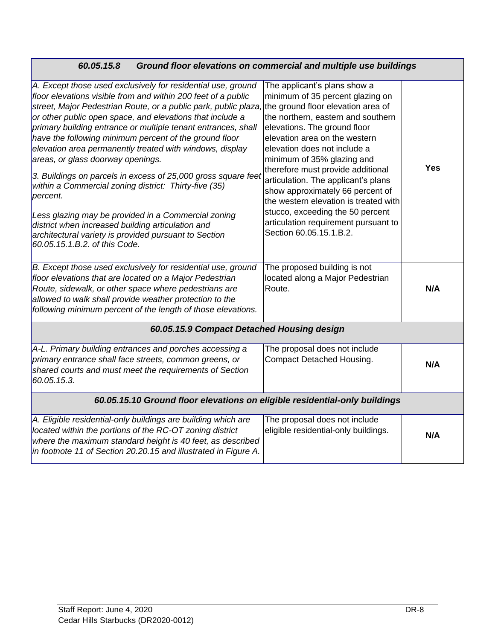| 60.05.15.8 | Ground floor elevations on commercial and multiple use buildings |
|------------|------------------------------------------------------------------|
|            |                                                                  |

| A. Except those used exclusively for residential use, ground<br>floor elevations visible from and within 200 feet of a public<br>street, Major Pedestrian Route, or a public park, public plaza, the ground floor elevation area of<br>or other public open space, and elevations that include a<br>primary building entrance or multiple tenant entrances, shall<br>have the following minimum percent of the ground floor<br>elevation area permanently treated with windows, display<br>areas, or glass doorway openings.<br>3. Buildings on parcels in excess of 25,000 gross square feet<br>within a Commercial zoning district: Thirty-five (35)<br>percent.<br>Less glazing may be provided in a Commercial zoning<br>district when increased building articulation and<br>architectural variety is provided pursuant to Section<br>60.05.15.1.B.2. of this Code. | The applicant's plans show a<br>minimum of 35 percent glazing on<br>the northern, eastern and southern<br>elevations. The ground floor<br>elevation area on the western<br>elevation does not include a<br>minimum of 35% glazing and<br>therefore must provide additional<br>articulation. The applicant's plans<br>show approximately 66 percent of<br>the western elevation is treated with<br>stucco, exceeding the 50 percent<br>articulation requirement pursuant to<br>Section 60.05.15.1.B.2. | <b>Yes</b> |
|--------------------------------------------------------------------------------------------------------------------------------------------------------------------------------------------------------------------------------------------------------------------------------------------------------------------------------------------------------------------------------------------------------------------------------------------------------------------------------------------------------------------------------------------------------------------------------------------------------------------------------------------------------------------------------------------------------------------------------------------------------------------------------------------------------------------------------------------------------------------------|-------------------------------------------------------------------------------------------------------------------------------------------------------------------------------------------------------------------------------------------------------------------------------------------------------------------------------------------------------------------------------------------------------------------------------------------------------------------------------------------------------|------------|
| B. Except those used exclusively for residential use, ground<br>floor elevations that are located on a Major Pedestrian<br>Route, sidewalk, or other space where pedestrians are<br>allowed to walk shall provide weather protection to the<br>following minimum percent of the length of those elevations.                                                                                                                                                                                                                                                                                                                                                                                                                                                                                                                                                              | The proposed building is not<br>located along a Major Pedestrian<br>Route.                                                                                                                                                                                                                                                                                                                                                                                                                            | N/A        |
| 60.05.15.9 Compact Detached Housing design                                                                                                                                                                                                                                                                                                                                                                                                                                                                                                                                                                                                                                                                                                                                                                                                                               |                                                                                                                                                                                                                                                                                                                                                                                                                                                                                                       |            |
| A-L. Primary building entrances and porches accessing a<br>primary entrance shall face streets, common greens, or<br>shared courts and must meet the requirements of Section<br>60.05.15.3.                                                                                                                                                                                                                                                                                                                                                                                                                                                                                                                                                                                                                                                                              | The proposal does not include<br>Compact Detached Housing.                                                                                                                                                                                                                                                                                                                                                                                                                                            | N/A        |
| 60.05.15.10 Ground floor elevations on eligible residential-only buildings                                                                                                                                                                                                                                                                                                                                                                                                                                                                                                                                                                                                                                                                                                                                                                                               |                                                                                                                                                                                                                                                                                                                                                                                                                                                                                                       |            |
| A. Eligible residential-only buildings are building which are<br>located within the portions of the RC-OT zoning district<br>where the maximum standard height is 40 feet, as described<br>in footnote 11 of Section 20.20.15 and illustrated in Figure A.                                                                                                                                                                                                                                                                                                                                                                                                                                                                                                                                                                                                               | The proposal does not include<br>eligible residential-only buildings.                                                                                                                                                                                                                                                                                                                                                                                                                                 | N/A        |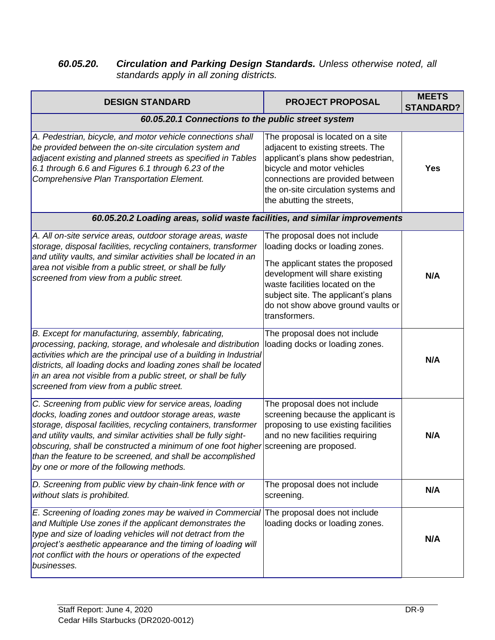#### *60.05.20. Circulation and Parking Design Standards. Unless otherwise noted, all standards apply in all zoning districts.*

| <b>DESIGN STANDARD</b>                                                                                                                                                                                                                                                                                                                                                                                                             | <b>PROJECT PROPOSAL</b>                                                                                                                                                                                                                                                   | <b>MEETS</b><br><b>STANDARD?</b> |
|------------------------------------------------------------------------------------------------------------------------------------------------------------------------------------------------------------------------------------------------------------------------------------------------------------------------------------------------------------------------------------------------------------------------------------|---------------------------------------------------------------------------------------------------------------------------------------------------------------------------------------------------------------------------------------------------------------------------|----------------------------------|
| 60.05.20.1 Connections to the public street system                                                                                                                                                                                                                                                                                                                                                                                 |                                                                                                                                                                                                                                                                           |                                  |
| A. Pedestrian, bicycle, and motor vehicle connections shall<br>be provided between the on-site circulation system and<br>adjacent existing and planned streets as specified in Tables<br>6.1 through 6.6 and Figures 6.1 through 6.23 of the<br>Comprehensive Plan Transportation Element.                                                                                                                                         | The proposal is located on a site<br>adjacent to existing streets. The<br>applicant's plans show pedestrian,<br>bicycle and motor vehicles<br>connections are provided between<br>the on-site circulation systems and<br>the abutting the streets,                        | <b>Yes</b>                       |
| 60.05.20.2 Loading areas, solid waste facilities, and similar improvements                                                                                                                                                                                                                                                                                                                                                         |                                                                                                                                                                                                                                                                           |                                  |
| A. All on-site service areas, outdoor storage areas, waste<br>storage, disposal facilities, recycling containers, transformer<br>and utility vaults, and similar activities shall be located in an<br>area not visible from a public street, or shall be fully<br>screened from view from a public street.                                                                                                                         | The proposal does not include<br>loading docks or loading zones.<br>The applicant states the proposed<br>development will share existing<br>waste facilities located on the<br>subject site. The applicant's plans<br>do not show above ground vaults or<br>transformers. | N/A                              |
| B. Except for manufacturing, assembly, fabricating,<br>processing, packing, storage, and wholesale and distribution<br>activities which are the principal use of a building in Industrial<br>districts, all loading docks and loading zones shall be located<br>in an area not visible from a public street, or shall be fully<br>screened from view from a public street.                                                         | The proposal does not include<br>loading docks or loading zones.                                                                                                                                                                                                          | N/A                              |
| C. Screening from public view for service areas, loading<br>docks, loading zones and outdoor storage areas, waste<br>storage, disposal facilities, recycling containers, transformer<br>and utility vaults, and similar activities shall be fully sight-<br>obscuring, shall be constructed a minimum of one foot higher<br>than the feature to be screened, and shall be accomplished<br>by one or more of the following methods. | The proposal does not include<br>screening because the applicant is<br>proposing to use existing facilities<br>and no new facilities requiring<br>screening are proposed.                                                                                                 | N/A                              |
| D. Screening from public view by chain-link fence with or<br>without slats is prohibited.                                                                                                                                                                                                                                                                                                                                          | The proposal does not include<br>screening.                                                                                                                                                                                                                               | N/A                              |
| E. Screening of loading zones may be waived in Commercial The proposal does not include<br>and Multiple Use zones if the applicant demonstrates the<br>type and size of loading vehicles will not detract from the<br>project's aesthetic appearance and the timing of loading will<br>not conflict with the hours or operations of the expected<br>businesses.                                                                    | loading docks or loading zones.                                                                                                                                                                                                                                           | N/A                              |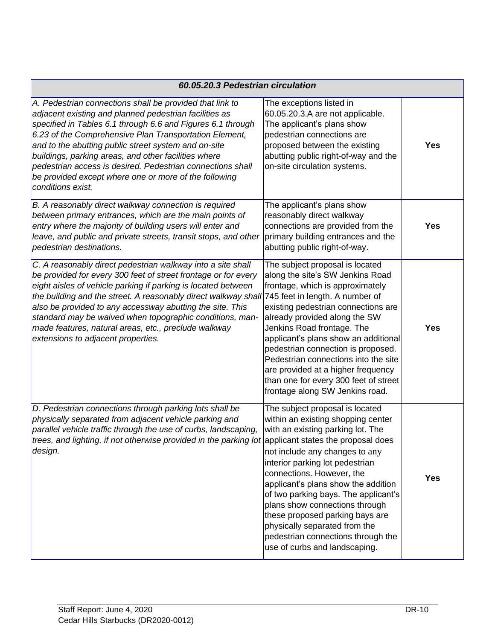| 60.05.20.3 Pedestrian circulation                                                                                                                                                                                                                                                                                                                                                                                                                                                                                       |                                                                                                                                                                                                                                                                                                                                                                                                                                                                          |            |
|-------------------------------------------------------------------------------------------------------------------------------------------------------------------------------------------------------------------------------------------------------------------------------------------------------------------------------------------------------------------------------------------------------------------------------------------------------------------------------------------------------------------------|--------------------------------------------------------------------------------------------------------------------------------------------------------------------------------------------------------------------------------------------------------------------------------------------------------------------------------------------------------------------------------------------------------------------------------------------------------------------------|------------|
| A. Pedestrian connections shall be provided that link to<br>adjacent existing and planned pedestrian facilities as<br>specified in Tables 6.1 through 6.6 and Figures 6.1 through<br>6.23 of the Comprehensive Plan Transportation Element,<br>and to the abutting public street system and on-site<br>buildings, parking areas, and other facilities where<br>pedestrian access is desired. Pedestrian connections shall<br>be provided except where one or more of the following<br>conditions exist.                 | The exceptions listed in<br>60.05.20.3.A are not applicable.<br>The applicant's plans show<br>pedestrian connections are<br>proposed between the existing<br>abutting public right-of-way and the<br>on-site circulation systems.                                                                                                                                                                                                                                        | <b>Yes</b> |
| B. A reasonably direct walkway connection is required<br>between primary entrances, which are the main points of<br>entry where the majority of building users will enter and<br>leave, and public and private streets, transit stops, and other<br>pedestrian destinations.                                                                                                                                                                                                                                            | The applicant's plans show<br>reasonably direct walkway<br>connections are provided from the<br>primary building entrances and the<br>abutting public right-of-way.                                                                                                                                                                                                                                                                                                      | <b>Yes</b> |
| C. A reasonably direct pedestrian walkway into a site shall<br>be provided for every 300 feet of street frontage or for every<br>eight aisles of vehicle parking if parking is located between<br>the building and the street. A reasonably direct walkway shall 745 feet in length. A number of<br>also be provided to any accessway abutting the site. This<br>standard may be waived when topographic conditions, man-<br>made features, natural areas, etc., preclude walkway<br>extensions to adjacent properties. | The subject proposal is located<br>along the site's SW Jenkins Road<br>frontage, which is approximately<br>existing pedestrian connections are<br>already provided along the SW<br>Jenkins Road frontage. The<br>applicant's plans show an additional<br>pedestrian connection is proposed.<br>Pedestrian connections into the site<br>are provided at a higher frequency<br>than one for every 300 feet of street<br>frontage along SW Jenkins road.                    | <b>Yes</b> |
| D. Pedestrian connections through parking lots shall be<br>physically separated from adjacent vehicle parking and<br>parallel vehicle traffic through the use of curbs, landscaping,<br>trees, and lighting, if not otherwise provided in the parking lot applicant states the proposal does<br>design.                                                                                                                                                                                                                 | The subject proposal is located<br>within an existing shopping center<br>with an existing parking lot. The<br>not include any changes to any<br>interior parking lot pedestrian<br>connections. However, the<br>applicant's plans show the addition<br>of two parking bays. The applicant's<br>plans show connections through<br>these proposed parking bays are<br>physically separated from the<br>pedestrian connections through the<br>use of curbs and landscaping. | <b>Yes</b> |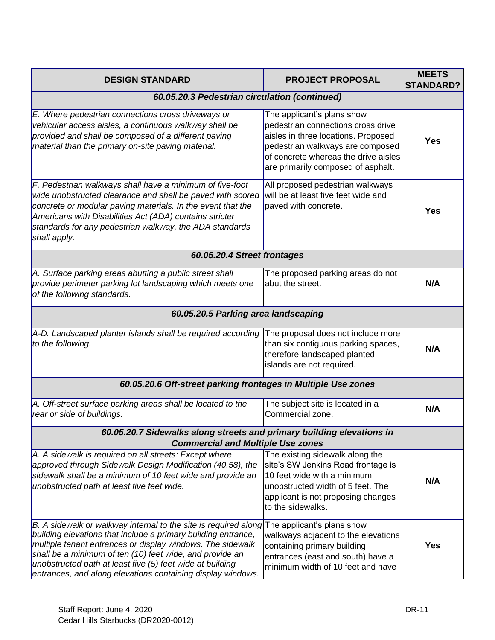| <b>DESIGN STANDARD</b>                                                                                                                                                                                                                                                                                                                                                                 | <b>PROJECT PROPOSAL</b>                                                                                                                                                                                                   | <b>MEETS</b><br><b>STANDARD?</b> |
|----------------------------------------------------------------------------------------------------------------------------------------------------------------------------------------------------------------------------------------------------------------------------------------------------------------------------------------------------------------------------------------|---------------------------------------------------------------------------------------------------------------------------------------------------------------------------------------------------------------------------|----------------------------------|
| 60.05.20.3 Pedestrian circulation (continued)                                                                                                                                                                                                                                                                                                                                          |                                                                                                                                                                                                                           |                                  |
| E. Where pedestrian connections cross driveways or<br>vehicular access aisles, a continuous walkway shall be<br>provided and shall be composed of a different paving<br>material than the primary on-site paving material.                                                                                                                                                             | The applicant's plans show<br>pedestrian connections cross drive<br>aisles in three locations. Proposed<br>pedestrian walkways are composed<br>of concrete whereas the drive aisles<br>are primarily composed of asphalt. | Yes                              |
| F. Pedestrian walkways shall have a minimum of five-foot<br>wide unobstructed clearance and shall be paved with scored<br>concrete or modular paving materials. In the event that the<br>Americans with Disabilities Act (ADA) contains stricter<br>standards for any pedestrian walkway, the ADA standards<br>shall apply.                                                            | All proposed pedestrian walkways<br>will be at least five feet wide and<br>paved with concrete.                                                                                                                           | <b>Yes</b>                       |
| 60.05.20.4 Street frontages                                                                                                                                                                                                                                                                                                                                                            |                                                                                                                                                                                                                           |                                  |
| A. Surface parking areas abutting a public street shall<br>provide perimeter parking lot landscaping which meets one<br>of the following standards.                                                                                                                                                                                                                                    | The proposed parking areas do not<br>abut the street.                                                                                                                                                                     | N/A                              |
| 60.05.20.5 Parking area landscaping                                                                                                                                                                                                                                                                                                                                                    |                                                                                                                                                                                                                           |                                  |
| A-D. Landscaped planter islands shall be required according<br>to the following.                                                                                                                                                                                                                                                                                                       | The proposal does not include more<br>than six contiguous parking spaces,<br>therefore landscaped planted<br>islands are not required.                                                                                    | N/A                              |
| 60.05.20.6 Off-street parking frontages in Multiple Use zones                                                                                                                                                                                                                                                                                                                          |                                                                                                                                                                                                                           |                                  |
| A. Off-street surface parking areas shall be located to the<br>rear or side of buildings.                                                                                                                                                                                                                                                                                              | The subject site is located in a<br>Commercial zone.                                                                                                                                                                      | N/A                              |
| 60.05.20.7 Sidewalks along streets and primary building elevations in<br><b>Commercial and Multiple Use zones</b>                                                                                                                                                                                                                                                                      |                                                                                                                                                                                                                           |                                  |
| A. A sidewalk is required on all streets: Except where<br>approved through Sidewalk Design Modification (40.58), the<br>sidewalk shall be a minimum of 10 feet wide and provide an<br>unobstructed path at least five feet wide.                                                                                                                                                       | The existing sidewalk along the<br>site's SW Jenkins Road frontage is<br>10 feet wide with a minimum<br>unobstructed width of 5 feet. The<br>applicant is not proposing changes<br>to the sidewalks.                      | N/A                              |
| B. A sidewalk or walkway internal to the site is required along<br>building elevations that include a primary building entrance,<br>multiple tenant entrances or display windows. The sidewalk<br>shall be a minimum of ten (10) feet wide, and provide an<br>unobstructed path at least five (5) feet wide at building<br>entrances, and along elevations containing display windows. | The applicant's plans show<br>walkways adjacent to the elevations<br>containing primary building<br>entrances (east and south) have a<br>minimum width of 10 feet and have                                                | <b>Yes</b>                       |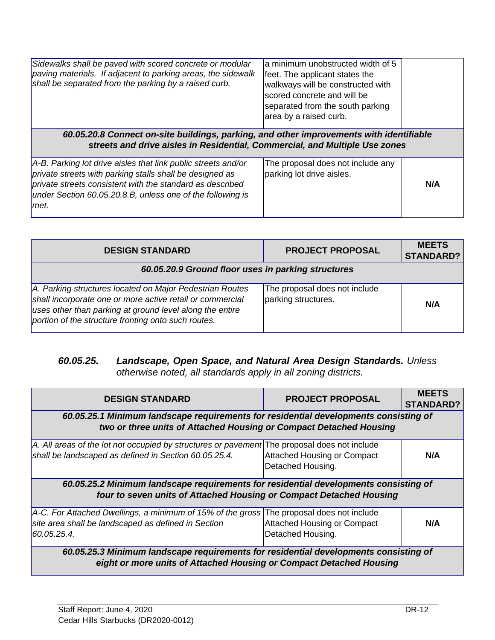*60.05.20.8 Connect on-site buildings, parking, and other improvements with identifiable streets and drive aisles in Residential, Commercial, and Multiple Use zones*

| A-B. Parking lot drive aisles that link public streets and/or<br>private streets with parking stalls shall be designed as<br>private streets consistent with the standard as described<br>under Section 60.05.20.8.B, unless one of the following is<br>Imet. | The proposal does not include any<br>parking lot drive aisles. | N/A |
|---------------------------------------------------------------------------------------------------------------------------------------------------------------------------------------------------------------------------------------------------------------|----------------------------------------------------------------|-----|
|---------------------------------------------------------------------------------------------------------------------------------------------------------------------------------------------------------------------------------------------------------------|----------------------------------------------------------------|-----|

| <b>DESIGN STANDARD</b>                                                                                                                                                                                                                   | <b>PROJECT PROPOSAL</b>                              | <b>MEETS</b><br><b>STANDARD?</b> |
|------------------------------------------------------------------------------------------------------------------------------------------------------------------------------------------------------------------------------------------|------------------------------------------------------|----------------------------------|
| 60.05.20.9 Ground floor uses in parking structures                                                                                                                                                                                       |                                                      |                                  |
| A. Parking structures located on Major Pedestrian Routes<br>shall incorporate one or more active retail or commercial<br>uses other than parking at ground level along the entire<br>portion of the structure fronting onto such routes. | The proposal does not include<br>parking structures. | N/A                              |

#### *60.05.25. Landscape, Open Space, and Natural Area Design Standards. Unless otherwise noted, all standards apply in all zoning districts.*

| <b>DESIGN STANDARD</b>                                                                                                                                      | <b>PROJECT PROPOSAL</b>                                                                  | <b>MEETS</b><br><b>STANDARD?</b> |
|-------------------------------------------------------------------------------------------------------------------------------------------------------------|------------------------------------------------------------------------------------------|----------------------------------|
| 60.05.25.1 Minimum landscape requirements for residential developments consisting of<br>two or three units of Attached Housing or Compact Detached Housing  |                                                                                          |                                  |
| $ A$ . All areas of the lot not occupied by structures or pavement The proposal does not include<br>shall be landscaped as defined in Section 60.05.25.4.   | <b>Attached Housing or Compact</b><br>Detached Housing.                                  | N/A                              |
| 60.05.25.2 Minimum landscape requirements for residential developments consisting of<br>four to seven units of Attached Housing or Compact Detached Housing |                                                                                          |                                  |
| A-C. For Attached Dwellings, a minimum of 15% of the gross<br>site area shall be landscaped as defined in Section<br>60.05.25.4.                            | The proposal does not include<br><b>Attached Housing or Compact</b><br>Detached Housing. | N/A                              |
| 60.05.25.3 Minimum landscape requirements for residential developments consisting of<br>eight or more units of Attached Housing or Compact Detached Housing |                                                                                          |                                  |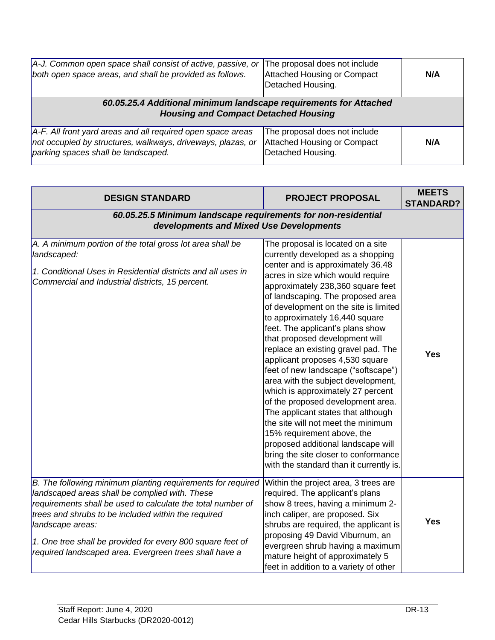| A-J. Common open space shall consist of active, passive, or<br>both open space areas, and shall be provided as follows.                                             | The proposal does not include<br><b>Attached Housing or Compact</b><br>Detached Housing. | N/A |
|---------------------------------------------------------------------------------------------------------------------------------------------------------------------|------------------------------------------------------------------------------------------|-----|
| 60.05.25.4 Additional minimum landscape requirements for Attached<br><b>Housing and Compact Detached Housing</b>                                                    |                                                                                          |     |
| $A-F.$ All front yard areas and all required open space areas<br>not occupied by structures, walkways, driveways, plazas, or<br>parking spaces shall be landscaped. | The proposal does not include<br><b>Attached Housing or Compact</b><br>Detached Housing. | N/A |

| <b>DESIGN STANDARD</b>                                                                                                                                                                                                                                                                                                                                                          | <b>PROJECT PROPOSAL</b>                                                                                                                                                                                                                                                                                                                                                                                                                                                                                                                                                                                                                                                                                                                                                                                                                         | <b>MEETS</b><br><b>STANDARD?</b> |
|---------------------------------------------------------------------------------------------------------------------------------------------------------------------------------------------------------------------------------------------------------------------------------------------------------------------------------------------------------------------------------|-------------------------------------------------------------------------------------------------------------------------------------------------------------------------------------------------------------------------------------------------------------------------------------------------------------------------------------------------------------------------------------------------------------------------------------------------------------------------------------------------------------------------------------------------------------------------------------------------------------------------------------------------------------------------------------------------------------------------------------------------------------------------------------------------------------------------------------------------|----------------------------------|
| 60.05.25.5 Minimum landscape requirements for non-residential<br>developments and Mixed Use Developments                                                                                                                                                                                                                                                                        |                                                                                                                                                                                                                                                                                                                                                                                                                                                                                                                                                                                                                                                                                                                                                                                                                                                 |                                  |
| A. A minimum portion of the total gross lot area shall be<br>landscaped:<br>1. Conditional Uses in Residential districts and all uses in<br>Commercial and Industrial districts, 15 percent.                                                                                                                                                                                    | The proposal is located on a site<br>currently developed as a shopping<br>center and is approximately 36.48<br>acres in size which would require<br>approximately 238,360 square feet<br>of landscaping. The proposed area<br>of development on the site is limited<br>to approximately 16,440 square<br>feet. The applicant's plans show<br>that proposed development will<br>replace an existing gravel pad. The<br>applicant proposes 4,530 square<br>feet of new landscape ("softscape")<br>area with the subject development,<br>which is approximately 27 percent<br>of the proposed development area.<br>The applicant states that although<br>the site will not meet the minimum<br>15% requirement above, the<br>proposed additional landscape will<br>bring the site closer to conformance<br>with the standard than it currently is. | <b>Yes</b>                       |
| B. The following minimum planting requirements for required<br>landscaped areas shall be complied with. These<br>requirements shall be used to calculate the total number of<br>trees and shrubs to be included within the required<br>landscape areas:<br>1. One tree shall be provided for every 800 square feet of<br>required landscaped area. Evergreen trees shall have a | Within the project area, 3 trees are<br>required. The applicant's plans<br>show 8 trees, having a minimum 2-<br>inch caliper, are proposed. Six<br>shrubs are required, the applicant is<br>proposing 49 David Viburnum, an<br>evergreen shrub having a maximum<br>mature height of approximately 5<br>feet in addition to a variety of other                                                                                                                                                                                                                                                                                                                                                                                                                                                                                                   | <b>Yes</b>                       |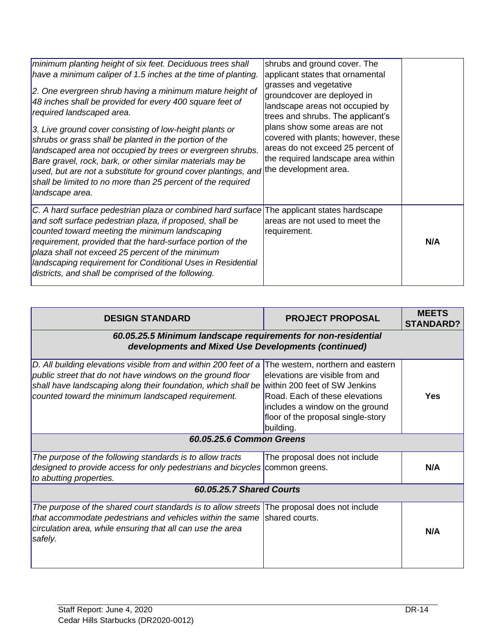| minimum planting height of six feet. Deciduous trees shall<br>have a minimum caliper of 1.5 inches at the time of planting.<br>2. One evergreen shrub having a minimum mature height of<br>48 inches shall be provided for every 400 square feet of<br>required landscaped area.<br>3. Live ground cover consisting of low-height plants or<br>shrubs or grass shall be planted in the portion of the<br>landscaped area not occupied by trees or evergreen shrubs.<br>Bare gravel, rock, bark, or other similar materials may be<br>used, but are not a substitute for ground cover plantings, and<br>shall be limited to no more than 25 percent of the required | shrubs and ground cover. The<br>applicant states that ornamental<br>grasses and vegetative<br>groundcover are deployed in<br>landscape areas not occupied by<br>trees and shrubs. The applicant's<br>plans show some areas are not<br>covered with plants; however, these<br>areas do not exceed 25 percent of<br>the required landscape area within<br>the development area. |     |
|--------------------------------------------------------------------------------------------------------------------------------------------------------------------------------------------------------------------------------------------------------------------------------------------------------------------------------------------------------------------------------------------------------------------------------------------------------------------------------------------------------------------------------------------------------------------------------------------------------------------------------------------------------------------|-------------------------------------------------------------------------------------------------------------------------------------------------------------------------------------------------------------------------------------------------------------------------------------------------------------------------------------------------------------------------------|-----|
| landscape area.<br>C. A hard surface pedestrian plaza or combined hard surface<br>and soft surface pedestrian plaza, if proposed, shall be<br>counted toward meeting the minimum landscaping<br>requirement, provided that the hard-surface portion of the<br>plaza shall not exceed 25 percent of the minimum<br>landscaping requirement for Conditional Uses in Residential<br>districts, and shall be comprised of the following.                                                                                                                                                                                                                               | The applicant states hardscape<br>areas are not used to meet the<br>requirement.                                                                                                                                                                                                                                                                                              | N/A |

| <b>DESIGN STANDARD</b>                                                                                                                                                                                                                                                              | <b>PROJECT PROPOSAL</b>                                                                                                                                                                      | <b>MEETS</b><br><b>STANDARD?</b> |  |
|-------------------------------------------------------------------------------------------------------------------------------------------------------------------------------------------------------------------------------------------------------------------------------------|----------------------------------------------------------------------------------------------------------------------------------------------------------------------------------------------|----------------------------------|--|
| 60.05.25.5 Minimum landscape requirements for non-residential<br>developments and Mixed Use Developments (continued)                                                                                                                                                                |                                                                                                                                                                                              |                                  |  |
| D. All building elevations visible from and within 200 feet of a<br>public street that do not have windows on the ground floor<br>shall have landscaping along their foundation, which shall be within 200 feet of SW Jenkins<br>counted toward the minimum landscaped requirement. | The western, northern and eastern<br>elevations are visible from and<br>Road. Each of these elevations<br>includes a window on the ground<br>floor of the proposal single-story<br>building. | Yes                              |  |
|                                                                                                                                                                                                                                                                                     | 60.05.25.6 Common Greens                                                                                                                                                                     |                                  |  |
| The purpose of the following standards is to allow tracts<br>designed to provide access for only pedestrians and bicycles common greens.<br>to abutting properties.                                                                                                                 | The proposal does not include                                                                                                                                                                | N/A                              |  |
| <b>60.05.25.7 Shared Courts</b>                                                                                                                                                                                                                                                     |                                                                                                                                                                                              |                                  |  |
| The purpose of the shared court standards is to allow streets<br>that accommodate pedestrians and vehicles within the same<br>circulation area, while ensuring that all can use the area<br>safely.                                                                                 | The proposal does not include<br>shared courts.                                                                                                                                              | N/A                              |  |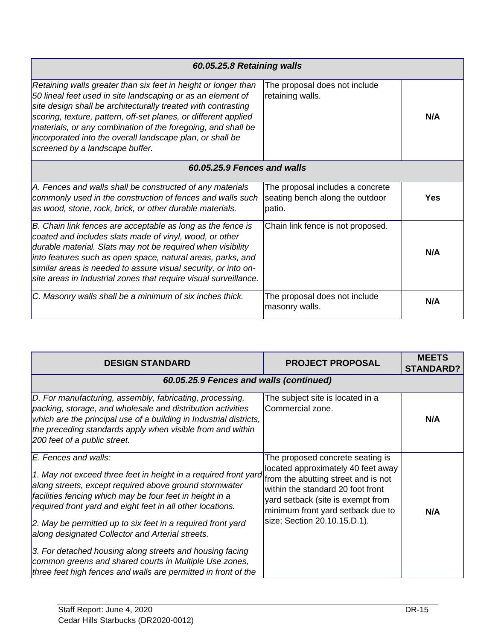| 60.05.25.8 Retaining walls                                                                                                                                                                                                                                                                                                                                                                                                        |                                                                               |     |
|-----------------------------------------------------------------------------------------------------------------------------------------------------------------------------------------------------------------------------------------------------------------------------------------------------------------------------------------------------------------------------------------------------------------------------------|-------------------------------------------------------------------------------|-----|
| Retaining walls greater than six feet in height or longer than<br>50 lineal feet used in site landscaping or as an element of<br>site design shall be architecturally treated with contrasting<br>scoring, texture, pattern, off-set planes, or different applied<br>materials, or any combination of the foregoing, and shall be<br>incorporated into the overall landscape plan, or shall be<br>screened by a landscape buffer. | The proposal does not include<br>retaining walls.                             | N/A |
| 60.05.25.9 Fences and walls                                                                                                                                                                                                                                                                                                                                                                                                       |                                                                               |     |
| A. Fences and walls shall be constructed of any materials<br>commonly used in the construction of fences and walls such<br>as wood, stone, rock, brick, or other durable materials.                                                                                                                                                                                                                                               | The proposal includes a concrete<br>seating bench along the outdoor<br>patio. | Yes |
| B. Chain link fences are acceptable as long as the fence is<br>coated and includes slats made of vinyl, wood, or other<br>durable material. Slats may not be required when visibility<br>into features such as open space, natural areas, parks, and<br>similar areas is needed to assure visual security, or into on-<br>site areas in Industrial zones that require visual surveillance.                                        | Chain link fence is not proposed.                                             | N/A |
| C. Masonry walls shall be a minimum of six inches thick.                                                                                                                                                                                                                                                                                                                                                                          | The proposal does not include<br>masonry walls.                               | N/A |

| <b>DESIGN STANDARD</b>                                                                                                                                                                                                                                                                                                                                                                                                                                                                                                                                                                 | <b>PROJECT PROPOSAL</b>                                                                                                                                                                                                                                      | <b>MEETS</b><br><b>STANDARD?</b> |
|----------------------------------------------------------------------------------------------------------------------------------------------------------------------------------------------------------------------------------------------------------------------------------------------------------------------------------------------------------------------------------------------------------------------------------------------------------------------------------------------------------------------------------------------------------------------------------------|--------------------------------------------------------------------------------------------------------------------------------------------------------------------------------------------------------------------------------------------------------------|----------------------------------|
| 60.05.25.9 Fences and walls (continued)                                                                                                                                                                                                                                                                                                                                                                                                                                                                                                                                                |                                                                                                                                                                                                                                                              |                                  |
| D. For manufacturing, assembly, fabricating, processing,<br>packing, storage, and wholesale and distribution activities<br>which are the principal use of a building in Industrial districts,<br>the preceding standards apply when visible from and within<br>200 feet of a public street.                                                                                                                                                                                                                                                                                            | The subject site is located in a<br>Commercial zone.                                                                                                                                                                                                         | N/A                              |
| E. Fences and walls:<br>1. May not exceed three feet in height in a required front yard<br>along streets, except required above ground stormwater<br>facilities fencing which may be four feet in height in a<br>required front yard and eight feet in all other locations.<br>2. May be permitted up to six feet in a required front yard<br>along designated Collector and Arterial streets.<br>3. For detached housing along streets and housing facing<br>common greens and shared courts in Multiple Use zones,<br>three feet high fences and walls are permitted in front of the | The proposed concrete seating is<br>located approximately 40 feet away<br>from the abutting street and is not<br>within the standard 20 foot front<br>yard setback (site is exempt from<br>minimum front yard setback due to<br>size; Section 20.10.15.D.1). | N/A                              |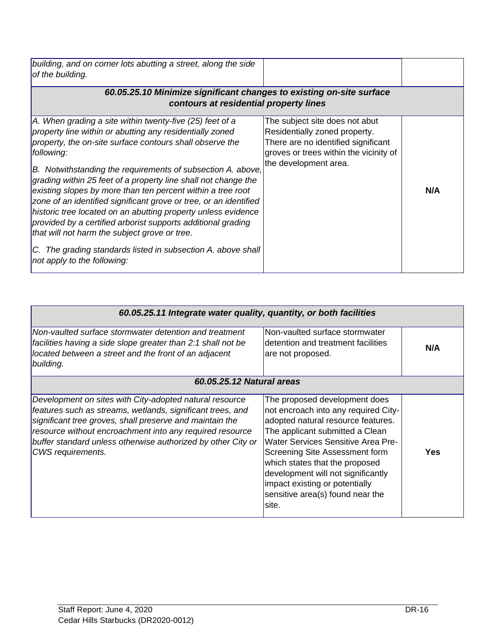| building, and on corner lots abutting a street, along the side<br>of the building.                                                                                                                                                                                                                                                                                                                                                                                                                                                                                                                                                                                                                                                                       |                                                                                                                                                                           |     |
|----------------------------------------------------------------------------------------------------------------------------------------------------------------------------------------------------------------------------------------------------------------------------------------------------------------------------------------------------------------------------------------------------------------------------------------------------------------------------------------------------------------------------------------------------------------------------------------------------------------------------------------------------------------------------------------------------------------------------------------------------------|---------------------------------------------------------------------------------------------------------------------------------------------------------------------------|-----|
| 60.05.25.10 Minimize significant changes to existing on-site surface<br>contours at residential property lines                                                                                                                                                                                                                                                                                                                                                                                                                                                                                                                                                                                                                                           |                                                                                                                                                                           |     |
| $ A$ . When grading a site within twenty-five (25) feet of a<br>property line within or abutting any residentially zoned<br>property, the on-site surface contours shall observe the<br>following:<br>B. Notwithstanding the requirements of subsection A. above,<br>grading within 25 feet of a property line shall not change the<br>existing slopes by more than ten percent within a tree root<br>zone of an identified significant grove or tree, or an identified<br>historic tree located on an abutting property unless evidence<br>provided by a certified arborist supports additional grading<br>that will not harm the subject grove or tree.<br>C. The grading standards listed in subsection A. above shall<br>not apply to the following: | The subject site does not abut<br>Residentially zoned property.<br>There are no identified significant<br>groves or trees within the vicinity of<br>the development area. | N/A |

| 60.05.25.11 Integrate water quality, quantity, or both facilities                                                                                                                                                                                                                                                                  |                                                                                                                                                                                                                                                                                                                                                                                      |     |
|------------------------------------------------------------------------------------------------------------------------------------------------------------------------------------------------------------------------------------------------------------------------------------------------------------------------------------|--------------------------------------------------------------------------------------------------------------------------------------------------------------------------------------------------------------------------------------------------------------------------------------------------------------------------------------------------------------------------------------|-----|
| Non-vaulted surface stormwater detention and treatment<br>facilities having a side slope greater than 2:1 shall not be<br>located between a street and the front of an adjacent<br>building.                                                                                                                                       | Non-vaulted surface stormwater<br>detention and treatment facilities<br>are not proposed.                                                                                                                                                                                                                                                                                            | N/A |
| 60.05.25.12 Natural areas                                                                                                                                                                                                                                                                                                          |                                                                                                                                                                                                                                                                                                                                                                                      |     |
| Development on sites with City-adopted natural resource<br>features such as streams, wetlands, significant trees, and<br>significant tree groves, shall preserve and maintain the<br>resource without encroachment into any required resource<br>buffer standard unless otherwise authorized by other City or<br>CWS requirements. | The proposed development does<br>not encroach into any required City-<br>adopted natural resource features.<br>The applicant submitted a Clean<br><b>Water Services Sensitive Area Pre-</b><br>Screening Site Assessment form<br>which states that the proposed<br>development will not significantly<br>impact existing or potentially<br>sensitive area(s) found near the<br>site. | Yes |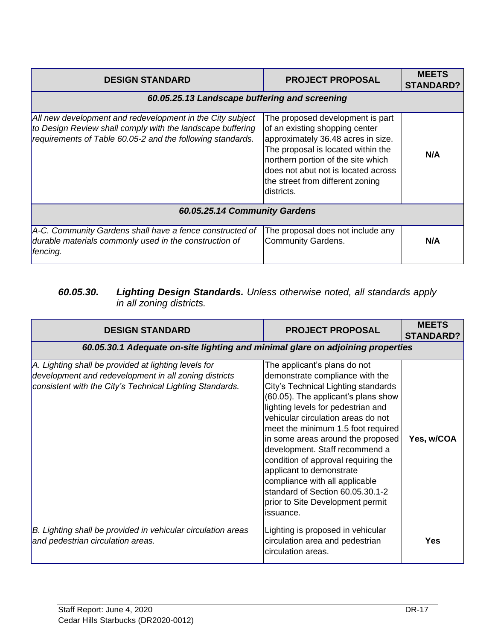| <b>DESIGN STANDARD</b>                                                                                                                                                                | <b>PROJECT PROPOSAL</b>                                                                                                                                                                                                                                                        | <b>MEETS</b><br><b>STANDARD?</b> |
|---------------------------------------------------------------------------------------------------------------------------------------------------------------------------------------|--------------------------------------------------------------------------------------------------------------------------------------------------------------------------------------------------------------------------------------------------------------------------------|----------------------------------|
| 60.05.25.13 Landscape buffering and screening                                                                                                                                         |                                                                                                                                                                                                                                                                                |                                  |
| All new development and redevelopment in the City subject<br>to Design Review shall comply with the landscape buffering<br>requirements of Table 60.05-2 and the following standards. | The proposed development is part<br>of an existing shopping center<br>approximately 36.48 acres in size.<br>The proposal is located within the<br>northern portion of the site which<br>does not abut not is located across<br>the street from different zoning<br>ldistricts. | N/A                              |
| 60.05.25.14 Community Gardens                                                                                                                                                         |                                                                                                                                                                                                                                                                                |                                  |
| A-C. Community Gardens shall have a fence constructed of<br>durable materials commonly used in the construction of<br>fencing.                                                        | The proposal does not include any<br>Community Gardens.                                                                                                                                                                                                                        | N/A                              |

#### *60.05.30. Lighting Design Standards. Unless otherwise noted, all standards apply in all zoning districts.*

| <b>DESIGN STANDARD</b>                                                                                                                                                    | <b>PROJECT PROPOSAL</b>                                                                                                                                                                                                                                                                                                                                                                                                                                                                                                          | <b>MEETS</b><br><b>STANDARD?</b> |
|---------------------------------------------------------------------------------------------------------------------------------------------------------------------------|----------------------------------------------------------------------------------------------------------------------------------------------------------------------------------------------------------------------------------------------------------------------------------------------------------------------------------------------------------------------------------------------------------------------------------------------------------------------------------------------------------------------------------|----------------------------------|
| 60.05.30.1 Adequate on-site lighting and minimal glare on adjoining properties                                                                                            |                                                                                                                                                                                                                                                                                                                                                                                                                                                                                                                                  |                                  |
| A. Lighting shall be provided at lighting levels for<br>development and redevelopment in all zoning districts<br>consistent with the City's Technical Lighting Standards. | The applicant's plans do not<br>demonstrate compliance with the<br>City's Technical Lighting standards<br>(60.05). The applicant's plans show<br>lighting levels for pedestrian and<br>vehicular circulation areas do not<br>meet the minimum 1.5 foot required<br>in some areas around the proposed<br>development. Staff recommend a<br>condition of approval requiring the<br>applicant to demonstrate<br>compliance with all applicable<br>standard of Section 60.05.30.1-2<br>prior to Site Development permit<br>issuance. | Yes, w/COA                       |
| B. Lighting shall be provided in vehicular circulation areas<br>and pedestrian circulation areas.                                                                         | Lighting is proposed in vehicular<br>circulation area and pedestrian<br>circulation areas.                                                                                                                                                                                                                                                                                                                                                                                                                                       | Yes                              |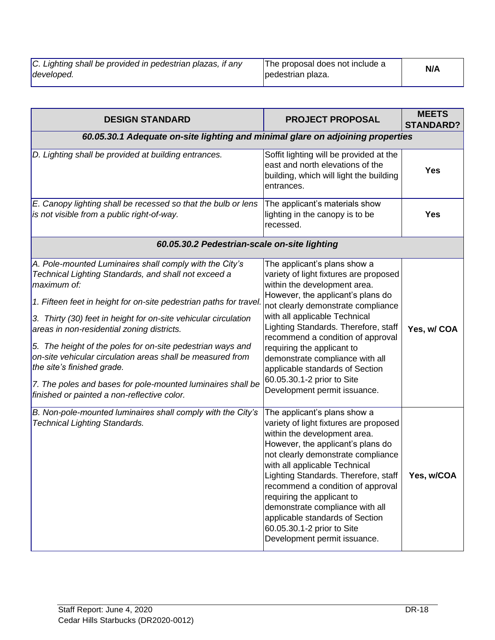| C. Lighting shall be provided in pedestrian plazas, if any<br> developed. | The proposal does not include a<br>pedestrian plaza. | N/A |
|---------------------------------------------------------------------------|------------------------------------------------------|-----|
|                                                                           |                                                      |     |

| <b>DESIGN STANDARD</b>                                                                                                                                                                                                                                                                                                                                                                                                                                                                                                                                                                        | <b>PROJECT PROPOSAL</b>                                                                                                                                                                                                                                                                                                                                                                                                                                           | <b>MEETS</b><br><b>STANDARD?</b> |  |
|-----------------------------------------------------------------------------------------------------------------------------------------------------------------------------------------------------------------------------------------------------------------------------------------------------------------------------------------------------------------------------------------------------------------------------------------------------------------------------------------------------------------------------------------------------------------------------------------------|-------------------------------------------------------------------------------------------------------------------------------------------------------------------------------------------------------------------------------------------------------------------------------------------------------------------------------------------------------------------------------------------------------------------------------------------------------------------|----------------------------------|--|
| 60.05.30.1 Adequate on-site lighting and minimal glare on adjoining properties                                                                                                                                                                                                                                                                                                                                                                                                                                                                                                                |                                                                                                                                                                                                                                                                                                                                                                                                                                                                   |                                  |  |
| D. Lighting shall be provided at building entrances.                                                                                                                                                                                                                                                                                                                                                                                                                                                                                                                                          | Soffit lighting will be provided at the<br>east and north elevations of the<br>building, which will light the building<br>entrances.                                                                                                                                                                                                                                                                                                                              | <b>Yes</b>                       |  |
| E. Canopy lighting shall be recessed so that the bulb or lens<br>is not visible from a public right-of-way.                                                                                                                                                                                                                                                                                                                                                                                                                                                                                   | The applicant's materials show<br>lighting in the canopy is to be<br>recessed.                                                                                                                                                                                                                                                                                                                                                                                    | Yes                              |  |
| 60.05.30.2 Pedestrian-scale on-site lighting                                                                                                                                                                                                                                                                                                                                                                                                                                                                                                                                                  |                                                                                                                                                                                                                                                                                                                                                                                                                                                                   |                                  |  |
| A. Pole-mounted Luminaires shall comply with the City's<br>Technical Lighting Standards, and shall not exceed a<br>maximum of:<br>1. Fifteen feet in height for on-site pedestrian paths for travel.<br>3. Thirty (30) feet in height for on-site vehicular circulation<br>areas in non-residential zoning districts.<br>5. The height of the poles for on-site pedestrian ways and<br>on-site vehicular circulation areas shall be measured from<br>the site's finished grade.<br>7. The poles and bases for pole-mounted luminaires shall be<br>finished or painted a non-reflective color. | The applicant's plans show a<br>variety of light fixtures are proposed<br>within the development area.<br>However, the applicant's plans do<br>not clearly demonstrate compliance<br>with all applicable Technical<br>Lighting Standards. Therefore, staff<br>recommend a condition of approval<br>requiring the applicant to<br>demonstrate compliance with all<br>applicable standards of Section<br>60.05.30.1-2 prior to Site<br>Development permit issuance. | Yes, w/ COA                      |  |
| B. Non-pole-mounted luminaires shall comply with the City's<br><b>Technical Lighting Standards.</b>                                                                                                                                                                                                                                                                                                                                                                                                                                                                                           | The applicant's plans show a<br>variety of light fixtures are proposed<br>within the development area.<br>However, the applicant's plans do<br>not clearly demonstrate compliance<br>with all applicable Technical<br>Lighting Standards. Therefore, staff<br>recommend a condition of approval<br>requiring the applicant to<br>demonstrate compliance with all<br>applicable standards of Section<br>60.05.30.1-2 prior to Site<br>Development permit issuance. | Yes, w/COA                       |  |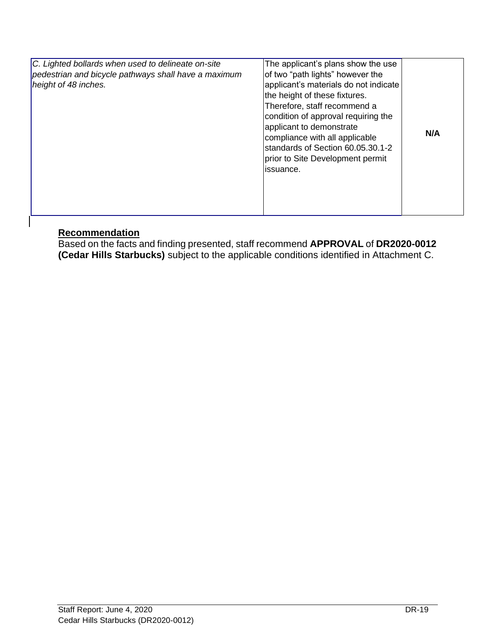| C. Lighted bollards when used to delineate on-site<br>pedestrian and bicycle pathways shall have a maximum<br>height of 48 inches. | The applicant's plans show the use<br>of two "path lights" however the<br>applicant's materials do not indicate<br>the height of these fixtures.<br>Therefore, staff recommend a<br>condition of approval requiring the<br>applicant to demonstrate<br>compliance with all applicable<br>standards of Section 60.05.30.1-2<br>prior to Site Development permit<br>issuance. | N/A |
|------------------------------------------------------------------------------------------------------------------------------------|-----------------------------------------------------------------------------------------------------------------------------------------------------------------------------------------------------------------------------------------------------------------------------------------------------------------------------------------------------------------------------|-----|
|------------------------------------------------------------------------------------------------------------------------------------|-----------------------------------------------------------------------------------------------------------------------------------------------------------------------------------------------------------------------------------------------------------------------------------------------------------------------------------------------------------------------------|-----|

### **Recommendation**

Based on the facts and finding presented, staff recommend **APPROVAL** of **DR2020-0012 (Cedar Hills Starbucks)** subject to the applicable conditions identified in Attachment C.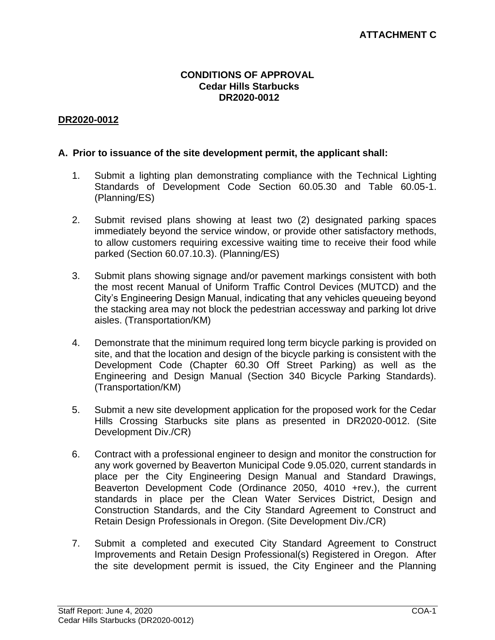#### **CONDITIONS OF APPROVAL Cedar Hills Starbucks DR2020-0012**

#### **DR2020-0012**

#### **A. Prior to issuance of the site development permit, the applicant shall:**

- 1. Submit a lighting plan demonstrating compliance with the Technical Lighting Standards of Development Code Section 60.05.30 and Table 60.05-1. (Planning/ES)
- 2. Submit revised plans showing at least two (2) designated parking spaces immediately beyond the service window, or provide other satisfactory methods, to allow customers requiring excessive waiting time to receive their food while parked (Section 60.07.10.3). (Planning/ES)
- 3. Submit plans showing signage and/or pavement markings consistent with both the most recent Manual of Uniform Traffic Control Devices (MUTCD) and the City's Engineering Design Manual, indicating that any vehicles queueing beyond the stacking area may not block the pedestrian accessway and parking lot drive aisles. (Transportation/KM)
- 4. Demonstrate that the minimum required long term bicycle parking is provided on site, and that the location and design of the bicycle parking is consistent with the Development Code (Chapter 60.30 Off Street Parking) as well as the Engineering and Design Manual (Section 340 Bicycle Parking Standards). (Transportation/KM)
- 5. Submit a new site development application for the proposed work for the Cedar Hills Crossing Starbucks site plans as presented in DR2020-0012. (Site Development Div./CR)
- 6. Contract with a professional engineer to design and monitor the construction for any work governed by Beaverton Municipal Code 9.05.020, current standards in place per the City Engineering Design Manual and Standard Drawings, Beaverton Development Code (Ordinance 2050, 4010 +rev.), the current standards in place per the Clean Water Services District, Design and Construction Standards, and the City Standard Agreement to Construct and Retain Design Professionals in Oregon. (Site Development Div./CR)
- 7. Submit a completed and executed City Standard Agreement to Construct Improvements and Retain Design Professional(s) Registered in Oregon. After the site development permit is issued, the City Engineer and the Planning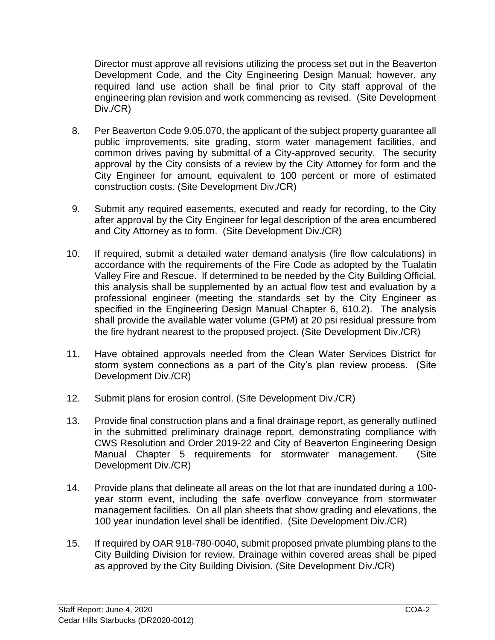Director must approve all revisions utilizing the process set out in the Beaverton Development Code, and the City Engineering Design Manual; however, any required land use action shall be final prior to City staff approval of the engineering plan revision and work commencing as revised. (Site Development Div./CR)

- 8. Per Beaverton Code 9.05.070, the applicant of the subject property guarantee all public improvements, site grading, storm water management facilities, and common drives paving by submittal of a City-approved security. The security approval by the City consists of a review by the City Attorney for form and the City Engineer for amount, equivalent to 100 percent or more of estimated construction costs. (Site Development Div./CR)
- 9. Submit any required easements, executed and ready for recording, to the City after approval by the City Engineer for legal description of the area encumbered and City Attorney as to form. (Site Development Div./CR)
- 10. If required, submit a detailed water demand analysis (fire flow calculations) in accordance with the requirements of the Fire Code as adopted by the Tualatin Valley Fire and Rescue. If determined to be needed by the City Building Official, this analysis shall be supplemented by an actual flow test and evaluation by a professional engineer (meeting the standards set by the City Engineer as specified in the Engineering Design Manual Chapter 6, 610.2). The analysis shall provide the available water volume (GPM) at 20 psi residual pressure from the fire hydrant nearest to the proposed project. (Site Development Div./CR)
- 11. Have obtained approvals needed from the Clean Water Services District for storm system connections as a part of the City's plan review process. (Site Development Div./CR)
- 12. Submit plans for erosion control. (Site Development Div./CR)
- 13. Provide final construction plans and a final drainage report, as generally outlined in the submitted preliminary drainage report, demonstrating compliance with CWS Resolution and Order 2019-22 and City of Beaverton Engineering Design Manual Chapter 5 requirements for stormwater management. (Site Development Div./CR)
- 14. Provide plans that delineate all areas on the lot that are inundated during a 100 year storm event, including the safe overflow conveyance from stormwater management facilities. On all plan sheets that show grading and elevations, the 100 year inundation level shall be identified. (Site Development Div./CR)
- 15. If required by OAR 918-780-0040, submit proposed private plumbing plans to the City Building Division for review. Drainage within covered areas shall be piped as approved by the City Building Division. (Site Development Div./CR)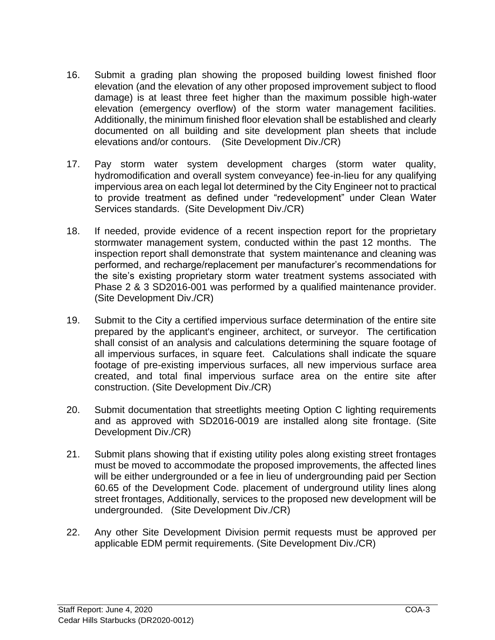- 16. Submit a grading plan showing the proposed building lowest finished floor elevation (and the elevation of any other proposed improvement subject to flood damage) is at least three feet higher than the maximum possible high-water elevation (emergency overflow) of the storm water management facilities. Additionally, the minimum finished floor elevation shall be established and clearly documented on all building and site development plan sheets that include elevations and/or contours. (Site Development Div./CR)
- 17. Pay storm water system development charges (storm water quality, hydromodification and overall system conveyance) fee-in-lieu for any qualifying impervious area on each legal lot determined by the City Engineer not to practical to provide treatment as defined under "redevelopment" under Clean Water Services standards. (Site Development Div./CR)
- 18. If needed, provide evidence of a recent inspection report for the proprietary stormwater management system, conducted within the past 12 months. The inspection report shall demonstrate that system maintenance and cleaning was performed, and recharge/replacement per manufacturer's recommendations for the site's existing proprietary storm water treatment systems associated with Phase 2 & 3 SD2016-001 was performed by a qualified maintenance provider. (Site Development Div./CR)
- 19. Submit to the City a certified impervious surface determination of the entire site prepared by the applicant's engineer, architect, or surveyor. The certification shall consist of an analysis and calculations determining the square footage of all impervious surfaces, in square feet. Calculations shall indicate the square footage of pre-existing impervious surfaces, all new impervious surface area created, and total final impervious surface area on the entire site after construction. (Site Development Div./CR)
- 20. Submit documentation that streetlights meeting Option C lighting requirements and as approved with SD2016-0019 are installed along site frontage. (Site Development Div./CR)
- 21. Submit plans showing that if existing utility poles along existing street frontages must be moved to accommodate the proposed improvements, the affected lines will be either undergrounded or a fee in lieu of undergrounding paid per Section 60.65 of the Development Code. placement of underground utility lines along street frontages, Additionally, services to the proposed new development will be undergrounded. (Site Development Div./CR)
- 22. Any other Site Development Division permit requests must be approved per applicable EDM permit requirements. (Site Development Div./CR)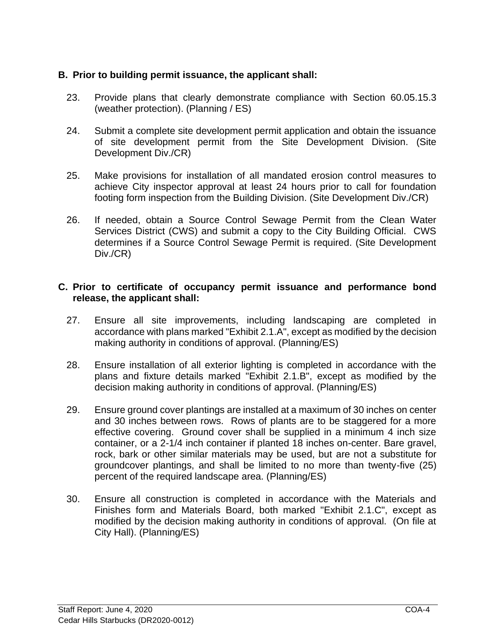#### **B. Prior to building permit issuance, the applicant shall:**

- 23. Provide plans that clearly demonstrate compliance with Section 60.05.15.3 (weather protection). (Planning / ES)
- 24. Submit a complete site development permit application and obtain the issuance of site development permit from the Site Development Division. (Site Development Div./CR)
- 25. Make provisions for installation of all mandated erosion control measures to achieve City inspector approval at least 24 hours prior to call for foundation footing form inspection from the Building Division. (Site Development Div./CR)
- 26. If needed, obtain a Source Control Sewage Permit from the Clean Water Services District (CWS) and submit a copy to the City Building Official. CWS determines if a Source Control Sewage Permit is required. (Site Development Div./CR)

#### **C. Prior to certificate of occupancy permit issuance and performance bond release, the applicant shall:**

- 27. Ensure all site improvements, including landscaping are completed in accordance with plans marked "Exhibit 2.1.A", except as modified by the decision making authority in conditions of approval. (Planning/ES)
- 28. Ensure installation of all exterior lighting is completed in accordance with the plans and fixture details marked "Exhibit 2.1.B", except as modified by the decision making authority in conditions of approval. (Planning/ES)
- 29. Ensure ground cover plantings are installed at a maximum of 30 inches on center and 30 inches between rows. Rows of plants are to be staggered for a more effective covering. Ground cover shall be supplied in a minimum 4 inch size container, or a 2-1/4 inch container if planted 18 inches on-center. Bare gravel, rock, bark or other similar materials may be used, but are not a substitute for groundcover plantings, and shall be limited to no more than twenty-five (25) percent of the required landscape area. (Planning/ES)
- 30. Ensure all construction is completed in accordance with the Materials and Finishes form and Materials Board, both marked "Exhibit 2.1.C", except as modified by the decision making authority in conditions of approval. (On file at City Hall). (Planning/ES)